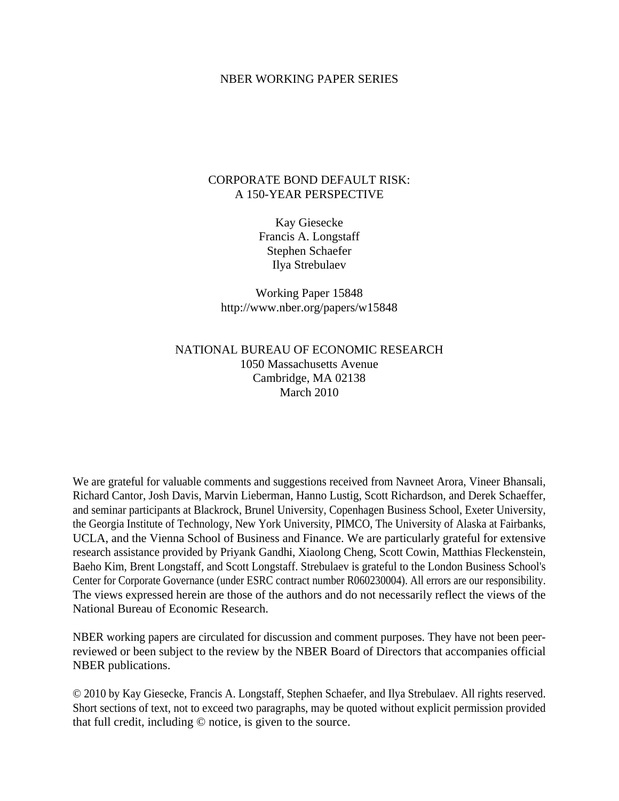## NBER WORKING PAPER SERIES

# CORPORATE BOND DEFAULT RISK: A 150-YEAR PERSPECTIVE

Kay Giesecke Francis A. Longstaff Stephen Schaefer Ilya Strebulaev

Working Paper 15848 http://www.nber.org/papers/w15848

# NATIONAL BUREAU OF ECONOMIC RESEARCH 1050 Massachusetts Avenue Cambridge, MA 02138 March 2010

We are grateful for valuable comments and suggestions received from Navneet Arora, Vineer Bhansali, Richard Cantor, Josh Davis, Marvin Lieberman, Hanno Lustig, Scott Richardson, and Derek Schaeffer, and seminar participants at Blackrock, Brunel University, Copenhagen Business School, Exeter University, the Georgia Institute of Technology, New York University, PIMCO, The University of Alaska at Fairbanks, UCLA, and the Vienna School of Business and Finance. We are particularly grateful for extensive research assistance provided by Priyank Gandhi, Xiaolong Cheng, Scott Cowin, Matthias Fleckenstein, Baeho Kim, Brent Longstaff, and Scott Longstaff. Strebulaev is grateful to the London Business School's Center for Corporate Governance (under ESRC contract number R060230004). All errors are our responsibility. The views expressed herein are those of the authors and do not necessarily reflect the views of the National Bureau of Economic Research.

NBER working papers are circulated for discussion and comment purposes. They have not been peerreviewed or been subject to the review by the NBER Board of Directors that accompanies official NBER publications.

© 2010 by Kay Giesecke, Francis A. Longstaff, Stephen Schaefer, and Ilya Strebulaev. All rights reserved. Short sections of text, not to exceed two paragraphs, may be quoted without explicit permission provided that full credit, including © notice, is given to the source.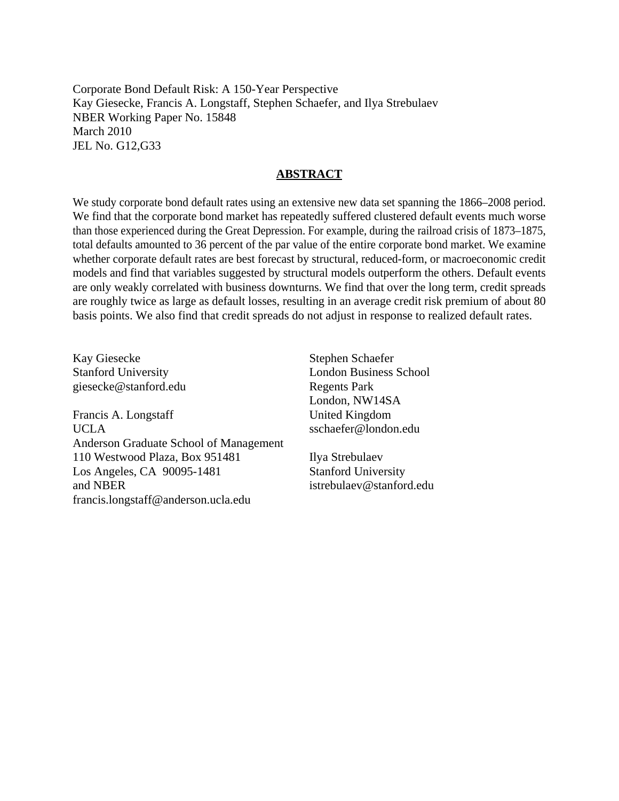Corporate Bond Default Risk: A 150-Year Perspective Kay Giesecke, Francis A. Longstaff, Stephen Schaefer, and Ilya Strebulaev NBER Working Paper No. 15848 March 2010 JEL No. G12,G33

# **ABSTRACT**

We study corporate bond default rates using an extensive new data set spanning the 1866–2008 period. We find that the corporate bond market has repeatedly suffered clustered default events much worse than those experienced during the Great Depression. For example, during the railroad crisis of 1873–1875, total defaults amounted to 36 percent of the par value of the entire corporate bond market. We examine whether corporate default rates are best forecast by structural, reduced-form, or macroeconomic credit models and find that variables suggested by structural models outperform the others. Default events are only weakly correlated with business downturns. We find that over the long term, credit spreads are roughly twice as large as default losses, resulting in an average credit risk premium of about 80 basis points. We also find that credit spreads do not adjust in response to realized default rates.

Kay Giesecke Stanford University giesecke@stanford.edu

Francis A. Longstaff UCLA Anderson Graduate School of Management 110 Westwood Plaza, Box 951481 Los Angeles, CA 90095-1481 and NBER francis.longstaff@anderson.ucla.edu

Stephen Schaefer London Business School Regents Park London, NW14SA United Kingdom sschaefer@london.edu

Ilya Strebulaev Stanford University istrebulaev@stanford.edu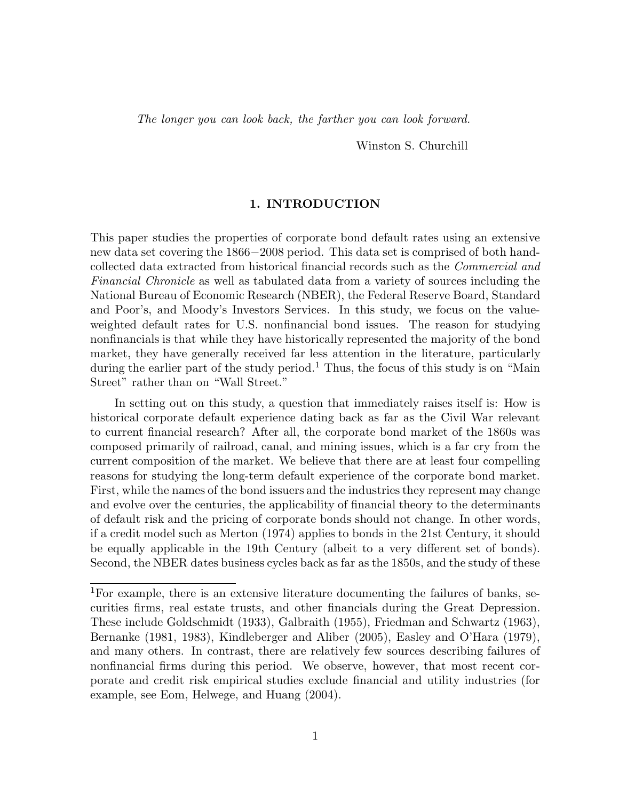*The longer you can look back, the farther you can look forward.*

Winston S. Churchill

### **1. INTRODUCTION**

This paper studies the properties of corporate bond default rates using an extensive new data set covering the 1866*−*2008 period. This data set is comprised of both handcollected data extracted from historical financial records such as the *Commercial and Financial Chronicle* as well as tabulated data from a variety of sources including the National Bureau of Economic Research (NBER), the Federal Reserve Board, Standard and Poor's, and Moody's Investors Services. In this study, we focus on the valueweighted default rates for U.S. nonfinancial bond issues. The reason for studying nonfinancials is that while they have historically represented the majority of the bond market, they have generally received far less attention in the literature, particularly during the earlier part of the study period.<sup>1</sup> Thus, the focus of this study is on "Main Street" rather than on "Wall Street."

In setting out on this study, a question that immediately raises itself is: How is historical corporate default experience dating back as far as the Civil War relevant to current financial research? After all, the corporate bond market of the 1860s was composed primarily of railroad, canal, and mining issues, which is a far cry from the current composition of the market. We believe that there are at least four compelling reasons for studying the long-term default experience of the corporate bond market. First, while the names of the bond issuers and the industries they represent may change and evolve over the centuries, the applicability of financial theory to the determinants of default risk and the pricing of corporate bonds should not change. In other words, if a credit model such as Merton (1974) applies to bonds in the 21st Century, it should be equally applicable in the 19th Century (albeit to a very different set of bonds). Second, the NBER dates business cycles back as far as the 1850s, and the study of these

<sup>1</sup>For example, there is an extensive literature documenting the failures of banks, securities firms, real estate trusts, and other financials during the Great Depression. These include Goldschmidt (1933), Galbraith (1955), Friedman and Schwartz (1963), Bernanke (1981, 1983), Kindleberger and Aliber (2005), Easley and O'Hara (1979), and many others. In contrast, there are relatively few sources describing failures of nonfinancial firms during this period. We observe, however, that most recent corporate and credit risk empirical studies exclude financial and utility industries (for example, see Eom, Helwege, and Huang (2004).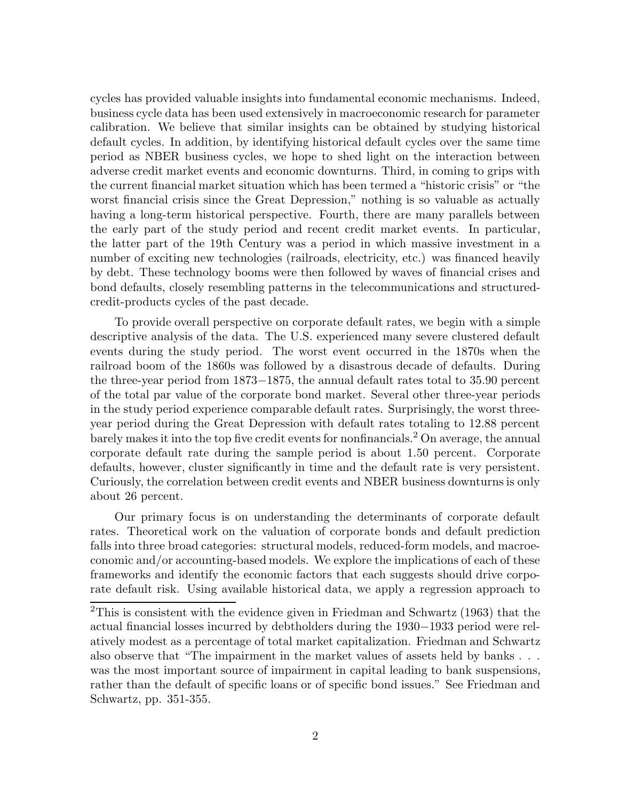cycles has provided valuable insights into fundamental economic mechanisms. Indeed, business cycle data has been used extensively in macroeconomic research for parameter calibration. We believe that similar insights can be obtained by studying historical default cycles. In addition, by identifying historical default cycles over the same time period as NBER business cycles, we hope to shed light on the interaction between adverse credit market events and economic downturns. Third, in coming to grips with the current financial market situation which has been termed a "historic crisis" or "the worst financial crisis since the Great Depression," nothing is so valuable as actually having a long-term historical perspective. Fourth, there are many parallels between the early part of the study period and recent credit market events. In particular, the latter part of the 19th Century was a period in which massive investment in a number of exciting new technologies (railroads, electricity, etc.) was financed heavily by debt. These technology booms were then followed by waves of financial crises and bond defaults, closely resembling patterns in the telecommunications and structuredcredit-products cycles of the past decade.

To provide overall perspective on corporate default rates, we begin with a simple descriptive analysis of the data. The U.S. experienced many severe clustered default events during the study period. The worst event occurred in the 1870s when the railroad boom of the 1860s was followed by a disastrous decade of defaults. During the three-year period from 1873*−*1875, the annual default rates total to 35.90 percent of the total par value of the corporate bond market. Several other three-year periods in the study period experience comparable default rates. Surprisingly, the worst threeyear period during the Great Depression with default rates totaling to 12.88 percent barely makes it into the top five credit events for nonfinancials.<sup>2</sup> On average, the annual corporate default rate during the sample period is about 1.50 percent. Corporate defaults, however, cluster significantly in time and the default rate is very persistent. Curiously, the correlation between credit events and NBER business downturns is only about 26 percent.

Our primary focus is on understanding the determinants of corporate default rates. Theoretical work on the valuation of corporate bonds and default prediction falls into three broad categories: structural models, reduced-form models, and macroeconomic and/or accounting-based models. We explore the implications of each of these frameworks and identify the economic factors that each suggests should drive corporate default risk. Using available historical data, we apply a regression approach to

<sup>2</sup>This is consistent with the evidence given in Friedman and Schwartz (1963) that the actual financial losses incurred by debtholders during the 1930*−*1933 period were relatively modest as a percentage of total market capitalization. Friedman and Schwartz also observe that "The impairment in the market values of assets held by banks . . . was the most important source of impairment in capital leading to bank suspensions, rather than the default of specific loans or of specific bond issues." See Friedman and Schwartz, pp. 351-355.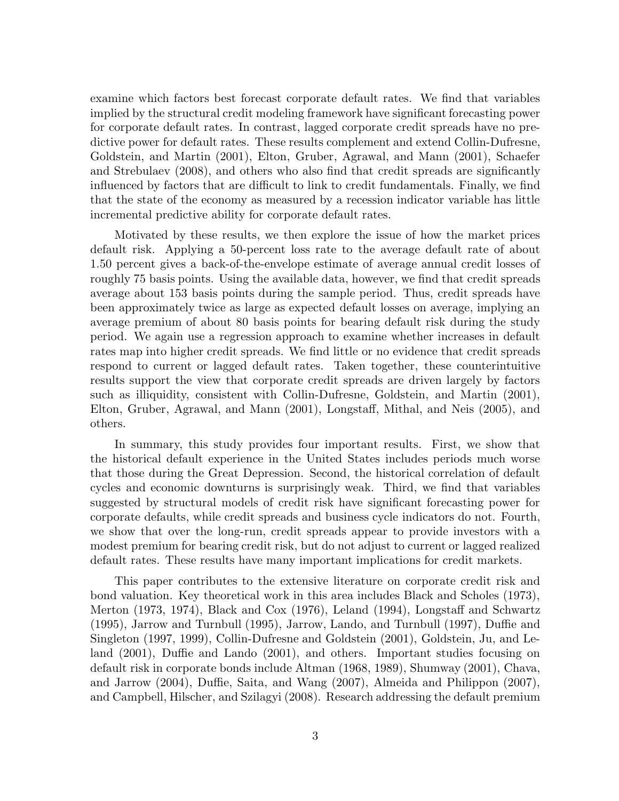examine which factors best forecast corporate default rates. We find that variables implied by the structural credit modeling framework have significant forecasting power for corporate default rates. In contrast, lagged corporate credit spreads have no predictive power for default rates. These results complement and extend Collin-Dufresne, Goldstein, and Martin (2001), Elton, Gruber, Agrawal, and Mann (2001), Schaefer and Strebulaev (2008), and others who also find that credit spreads are significantly influenced by factors that are difficult to link to credit fundamentals. Finally, we find that the state of the economy as measured by a recession indicator variable has little incremental predictive ability for corporate default rates.

Motivated by these results, we then explore the issue of how the market prices default risk. Applying a 50-percent loss rate to the average default rate of about 1.50 percent gives a back-of-the-envelope estimate of average annual credit losses of roughly 75 basis points. Using the available data, however, we find that credit spreads average about 153 basis points during the sample period. Thus, credit spreads have been approximately twice as large as expected default losses on average, implying an average premium of about 80 basis points for bearing default risk during the study period. We again use a regression approach to examine whether increases in default rates map into higher credit spreads. We find little or no evidence that credit spreads respond to current or lagged default rates. Taken together, these counterintuitive results support the view that corporate credit spreads are driven largely by factors such as illiquidity, consistent with Collin-Dufresne, Goldstein, and Martin (2001), Elton, Gruber, Agrawal, and Mann (2001), Longstaff, Mithal, and Neis (2005), and others.

In summary, this study provides four important results. First, we show that the historical default experience in the United States includes periods much worse that those during the Great Depression. Second, the historical correlation of default cycles and economic downturns is surprisingly weak. Third, we find that variables suggested by structural models of credit risk have significant forecasting power for corporate defaults, while credit spreads and business cycle indicators do not. Fourth, we show that over the long-run, credit spreads appear to provide investors with a modest premium for bearing credit risk, but do not adjust to current or lagged realized default rates. These results have many important implications for credit markets.

This paper contributes to the extensive literature on corporate credit risk and bond valuation. Key theoretical work in this area includes Black and Scholes (1973), Merton (1973, 1974), Black and Cox (1976), Leland (1994), Longstaff and Schwartz (1995), Jarrow and Turnbull (1995), Jarrow, Lando, and Turnbull (1997), Duffie and Singleton (1997, 1999), Collin-Dufresne and Goldstein (2001), Goldstein, Ju, and Leland (2001), Duffie and Lando (2001), and others. Important studies focusing on default risk in corporate bonds include Altman (1968, 1989), Shumway (2001), Chava, and Jarrow (2004), Duffie, Saita, and Wang (2007), Almeida and Philippon (2007), and Campbell, Hilscher, and Szilagyi (2008). Research addressing the default premium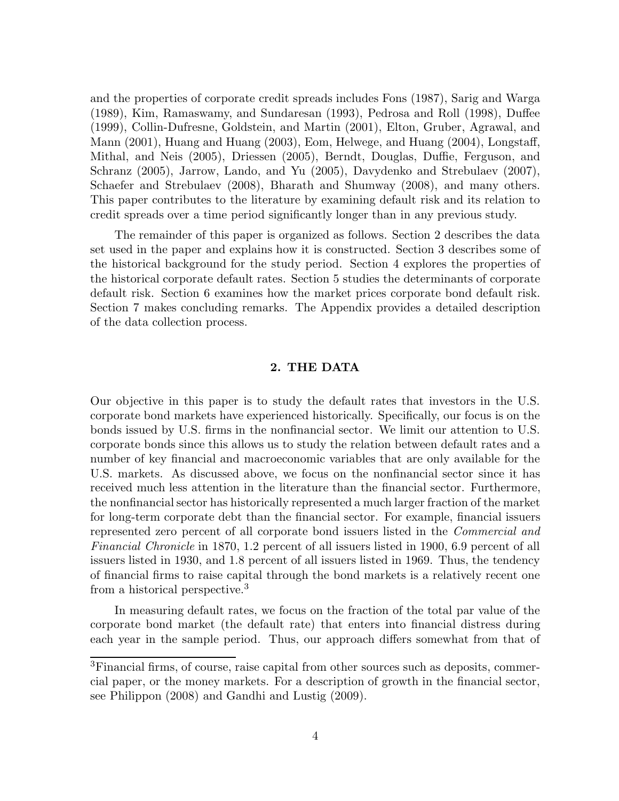and the properties of corporate credit spreads includes Fons (1987), Sarig and Warga (1989), Kim, Ramaswamy, and Sundaresan (1993), Pedrosa and Roll (1998), Duffee (1999), Collin-Dufresne, Goldstein, and Martin (2001), Elton, Gruber, Agrawal, and Mann (2001), Huang and Huang (2003), Eom, Helwege, and Huang (2004), Longstaff, Mithal, and Neis (2005), Driessen (2005), Berndt, Douglas, Duffie, Ferguson, and Schranz (2005), Jarrow, Lando, and Yu (2005), Davydenko and Strebulaev (2007), Schaefer and Strebulaev (2008), Bharath and Shumway (2008), and many others. This paper contributes to the literature by examining default risk and its relation to credit spreads over a time period significantly longer than in any previous study.

The remainder of this paper is organized as follows. Section 2 describes the data set used in the paper and explains how it is constructed. Section 3 describes some of the historical background for the study period. Section 4 explores the properties of the historical corporate default rates. Section 5 studies the determinants of corporate default risk. Section 6 examines how the market prices corporate bond default risk. Section 7 makes concluding remarks. The Appendix provides a detailed description of the data collection process.

# **2. THE DATA**

Our objective in this paper is to study the default rates that investors in the U.S. corporate bond markets have experienced historically. Specifically, our focus is on the bonds issued by U.S. firms in the nonfinancial sector. We limit our attention to U.S. corporate bonds since this allows us to study the relation between default rates and a number of key financial and macroeconomic variables that are only available for the U.S. markets. As discussed above, we focus on the nonfinancial sector since it has received much less attention in the literature than the financial sector. Furthermore, the nonfinancial sector has historically represented a much larger fraction of the market for long-term corporate debt than the financial sector. For example, financial issuers represented zero percent of all corporate bond issuers listed in the *Commercial and Financial Chronicle* in 1870, 1.2 percent of all issuers listed in 1900, 6.9 percent of all issuers listed in 1930, and 1.8 percent of all issuers listed in 1969. Thus, the tendency of financial firms to raise capital through the bond markets is a relatively recent one from a historical perspective.<sup>3</sup>

In measuring default rates, we focus on the fraction of the total par value of the corporate bond market (the default rate) that enters into financial distress during each year in the sample period. Thus, our approach differs somewhat from that of

<sup>3</sup>Financial firms, of course, raise capital from other sources such as deposits, commercial paper, or the money markets. For a description of growth in the financial sector, see Philippon (2008) and Gandhi and Lustig (2009).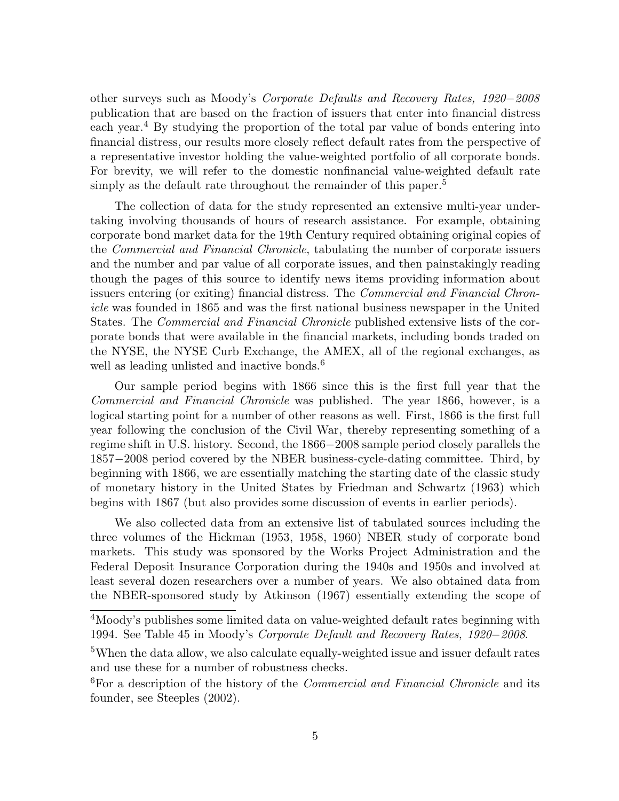other surveys such as Moody's *Corporate Defaults and Recovery Rates, 1920−2008* publication that are based on the fraction of issuers that enter into financial distress each year.<sup>4</sup> By studying the proportion of the total par value of bonds entering into financial distress, our results more closely reflect default rates from the perspective of a representative investor holding the value-weighted portfolio of all corporate bonds. For brevity, we will refer to the domestic nonfinancial value-weighted default rate simply as the default rate throughout the remainder of this paper.<sup>5</sup>

The collection of data for the study represented an extensive multi-year undertaking involving thousands of hours of research assistance. For example, obtaining corporate bond market data for the 19th Century required obtaining original copies of the *Commercial and Financial Chronicle*, tabulating the number of corporate issuers and the number and par value of all corporate issues, and then painstakingly reading though the pages of this source to identify news items providing information about issuers entering (or exiting) financial distress. The *Commercial and Financial Chronicle* was founded in 1865 and was the first national business newspaper in the United States. The *Commercial and Financial Chronicle* published extensive lists of the corporate bonds that were available in the financial markets, including bonds traded on the NYSE, the NYSE Curb Exchange, the AMEX, all of the regional exchanges, as well as leading unlisted and inactive bonds.<sup>6</sup>

Our sample period begins with 1866 since this is the first full year that the *Commercial and Financial Chronicle* was published. The year 1866, however, is a logical starting point for a number of other reasons as well. First, 1866 is the first full year following the conclusion of the Civil War, thereby representing something of a regime shift in U.S. history. Second, the 1866*−*2008 sample period closely parallels the 1857*−*2008 period covered by the NBER business-cycle-dating committee. Third, by beginning with 1866, we are essentially matching the starting date of the classic study of monetary history in the United States by Friedman and Schwartz (1963) which begins with 1867 (but also provides some discussion of events in earlier periods).

We also collected data from an extensive list of tabulated sources including the three volumes of the Hickman (1953, 1958, 1960) NBER study of corporate bond markets. This study was sponsored by the Works Project Administration and the Federal Deposit Insurance Corporation during the 1940s and 1950s and involved at least several dozen researchers over a number of years. We also obtained data from the NBER-sponsored study by Atkinson (1967) essentially extending the scope of

<sup>4</sup>Moody's publishes some limited data on value-weighted default rates beginning with 1994. See Table 45 in Moody's *Corporate Default and Recovery Rates, 1920−2008*.

<sup>&</sup>lt;sup>5</sup>When the data allow, we also calculate equally-weighted issue and issuer default rates and use these for a number of robustness checks.

<sup>6</sup>For a description of the history of the *Commercial and Financial Chronicle* and its founder, see Steeples (2002).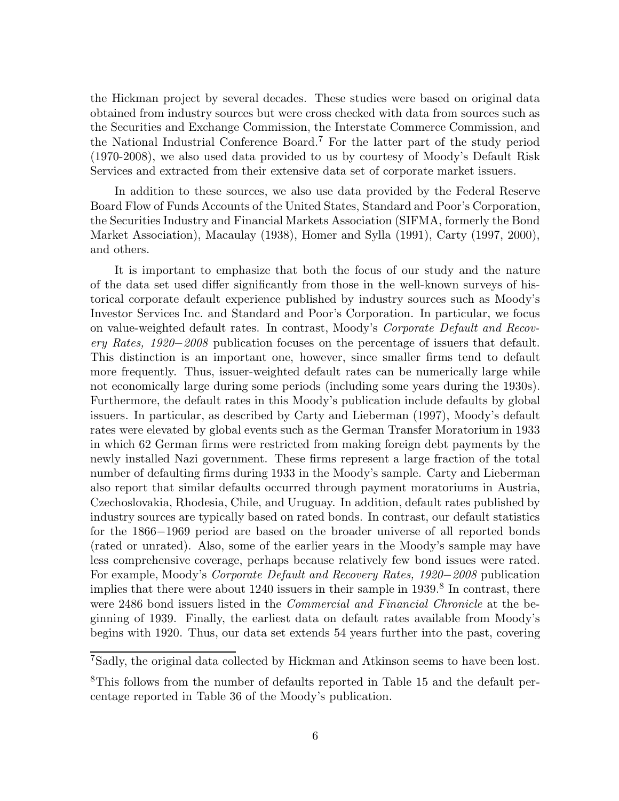the Hickman project by several decades. These studies were based on original data obtained from industry sources but were cross checked with data from sources such as the Securities and Exchange Commission, the Interstate Commerce Commission, and the National Industrial Conference Board.<sup>7</sup> For the latter part of the study period (1970-2008), we also used data provided to us by courtesy of Moody's Default Risk Services and extracted from their extensive data set of corporate market issuers.

In addition to these sources, we also use data provided by the Federal Reserve Board Flow of Funds Accounts of the United States, Standard and Poor's Corporation, the Securities Industry and Financial Markets Association (SIFMA, formerly the Bond Market Association), Macaulay (1938), Homer and Sylla (1991), Carty (1997, 2000), and others.

It is important to emphasize that both the focus of our study and the nature of the data set used differ significantly from those in the well-known surveys of historical corporate default experience published by industry sources such as Moody's Investor Services Inc. and Standard and Poor's Corporation. In particular, we focus on value-weighted default rates. In contrast, Moody's *Corporate Default and Recovery Rates, 1920−2008* publication focuses on the percentage of issuers that default. This distinction is an important one, however, since smaller firms tend to default more frequently. Thus, issuer-weighted default rates can be numerically large while not economically large during some periods (including some years during the 1930s). Furthermore, the default rates in this Moody's publication include defaults by global issuers. In particular, as described by Carty and Lieberman (1997), Moody's default rates were elevated by global events such as the German Transfer Moratorium in 1933 in which 62 German firms were restricted from making foreign debt payments by the newly installed Nazi government. These firms represent a large fraction of the total number of defaulting firms during 1933 in the Moody's sample. Carty and Lieberman also report that similar defaults occurred through payment moratoriums in Austria, Czechoslovakia, Rhodesia, Chile, and Uruguay. In addition, default rates published by industry sources are typically based on rated bonds. In contrast, our default statistics for the 1866*−*1969 period are based on the broader universe of all reported bonds (rated or unrated). Also, some of the earlier years in the Moody's sample may have less comprehensive coverage, perhaps because relatively few bond issues were rated. For example, Moody's *Corporate Default and Recovery Rates, 1920−2008* publication implies that there were about 1240 issuers in their sample in 1939.<sup>8</sup> In contrast, there were 2486 bond issuers listed in the *Commercial and Financial Chronicle* at the beginning of 1939. Finally, the earliest data on default rates available from Moody's begins with 1920. Thus, our data set extends 54 years further into the past, covering

<sup>7</sup>Sadly, the original data collected by Hickman and Atkinson seems to have been lost.

<sup>&</sup>lt;sup>8</sup>This follows from the number of defaults reported in Table 15 and the default percentage reported in Table 36 of the Moody's publication.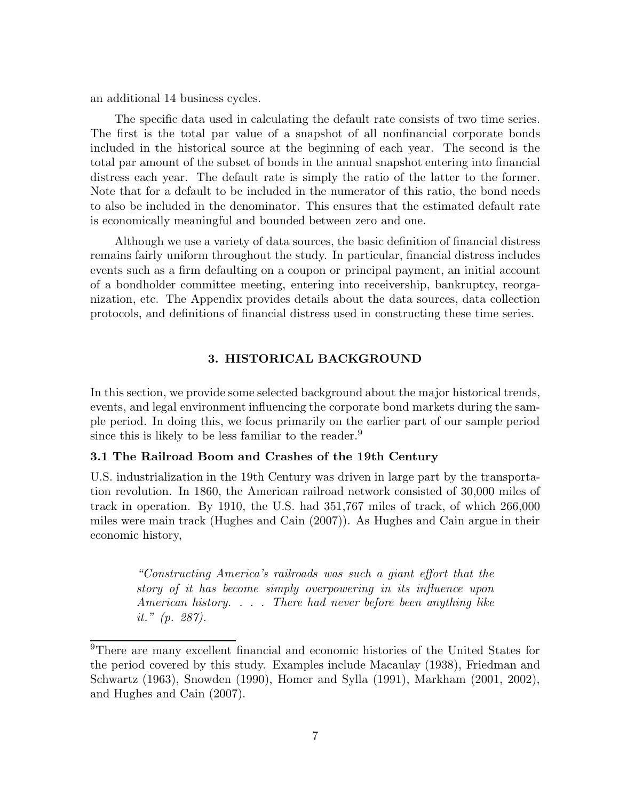an additional 14 business cycles.

The specific data used in calculating the default rate consists of two time series. The first is the total par value of a snapshot of all nonfinancial corporate bonds included in the historical source at the beginning of each year. The second is the total par amount of the subset of bonds in the annual snapshot entering into financial distress each year. The default rate is simply the ratio of the latter to the former. Note that for a default to be included in the numerator of this ratio, the bond needs to also be included in the denominator. This ensures that the estimated default rate is economically meaningful and bounded between zero and one.

Although we use a variety of data sources, the basic definition of financial distress remains fairly uniform throughout the study. In particular, financial distress includes events such as a firm defaulting on a coupon or principal payment, an initial account of a bondholder committee meeting, entering into receivership, bankruptcy, reorganization, etc. The Appendix provides details about the data sources, data collection protocols, and definitions of financial distress used in constructing these time series.

# **3. HISTORICAL BACKGROUND**

In this section, we provide some selected background about the major historical trends, events, and legal environment influencing the corporate bond markets during the sample period. In doing this, we focus primarily on the earlier part of our sample period since this is likely to be less familiar to the reader.<sup>9</sup>

#### **3.1 The Railroad Boom and Crashes of the 19th Century**

U.S. industrialization in the 19th Century was driven in large part by the transportation revolution. In 1860, the American railroad network consisted of 30,000 miles of track in operation. By 1910, the U.S. had 351,767 miles of track, of which 266,000 miles were main track (Hughes and Cain (2007)). As Hughes and Cain argue in their economic history,

> *"Constructing America's railroads was such a giant effort that the story of it has become simply overpowering in its influence upon American history. . . . There had never before been anything like it." (p. 287).*

<sup>&</sup>lt;sup>9</sup>There are many excellent financial and economic histories of the United States for the period covered by this study. Examples include Macaulay (1938), Friedman and Schwartz (1963), Snowden (1990), Homer and Sylla (1991), Markham (2001, 2002), and Hughes and Cain (2007).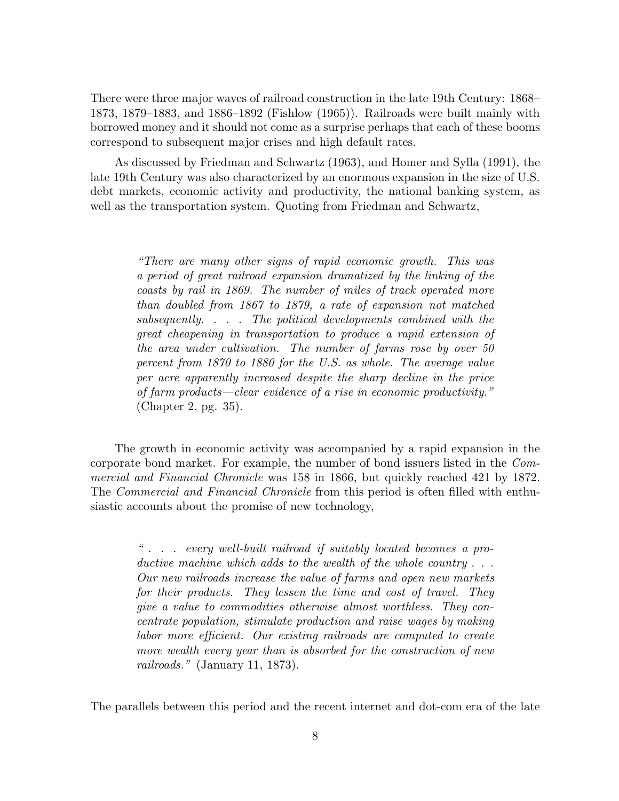There were three major waves of railroad construction in the late 19th Century: 1868– 1873, 1879–1883, and 1886–1892 (Fishlow (1965)). Railroads were built mainly with borrowed money and it should not come as a surprise perhaps that each of these booms correspond to subsequent major crises and high default rates.

As discussed by Friedman and Schwartz (1963), and Homer and Sylla (1991), the late 19th Century was also characterized by an enormous expansion in the size of U.S. debt markets, economic activity and productivity, the national banking system, as well as the transportation system. Quoting from Friedman and Schwartz,

> *"There are many other signs of rapid economic growth. This was a period of great railroad expansion dramatized by the linking of the coasts by rail in 1869. The number of miles of track operated more than doubled from 1867 to 1879, a rate of expansion not matched subsequently. . . . The political developments combined with the great cheapening in transportation to produce a rapid extension of the area under cultivation. The number of farms rose by over 50 percent from 1870 to 1880 for the U.S. as whole. The average value per acre apparently increased despite the sharp decline in the price of farm products—clear evidence of a rise in economic productivity."* (Chapter 2, pg. 35).

The growth in economic activity was accompanied by a rapid expansion in the corporate bond market. For example, the number of bond issuers listed in the *Commercial and Financial Chronicle* was 158 in 1866, but quickly reached 421 by 1872. The *Commercial and Financial Chronicle* from this period is often filled with enthusiastic accounts about the promise of new technology,

> *" . . . every well-built railroad if suitably located becomes a productive machine which adds to the wealth of the whole country . . . Our new railroads increase the value of farms and open new markets for their products. They lessen the time and cost of travel. They give a value to commodities otherwise almost worthless. They concentrate population, stimulate production and raise wages by making labor more efficient. Our existing railroads are computed to create more wealth every year than is absorbed for the construction of new railroads."* (January 11, 1873).

The parallels between this period and the recent internet and dot-com era of the late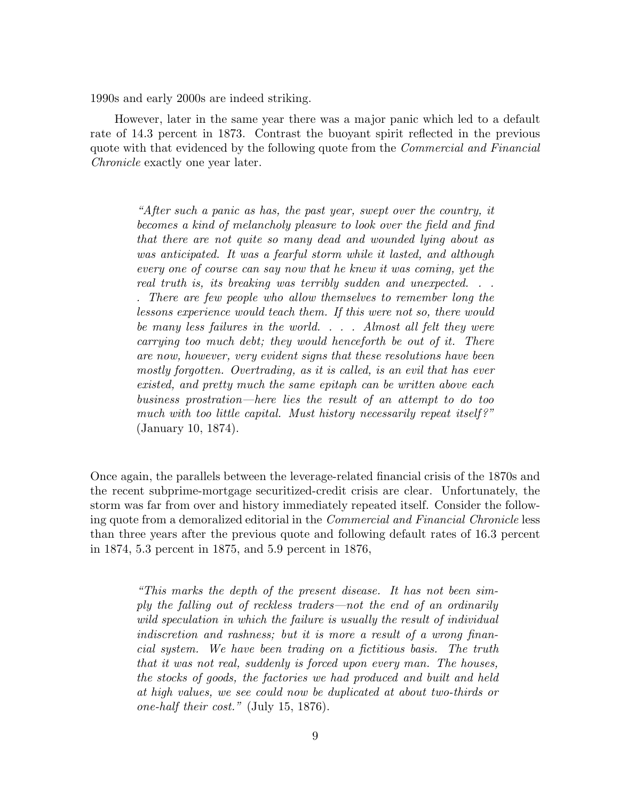1990s and early 2000s are indeed striking.

However, later in the same year there was a major panic which led to a default rate of 14.3 percent in 1873. Contrast the buoyant spirit reflected in the previous quote with that evidenced by the following quote from the *Commercial and Financial Chronicle* exactly one year later.

> *"After such a panic as has, the past year, swept over the country, it becomes a kind of melancholy pleasure to look over the field and find that there are not quite so many dead and wounded lying about as was anticipated. It was a fearful storm while it lasted, and although every one of course can say now that he knew it was coming, yet the real truth is, its breaking was terribly sudden and unexpected. . . . There are few people who allow themselves to remember long the lessons experience would teach them. If this were not so, there would be many less failures in the world. . . . Almost all felt they were carrying too much debt; they would henceforth be out of it. There are now, however, very evident signs that these resolutions have been mostly forgotten. Overtrading, as it is called, is an evil that has ever existed, and pretty much the same epitaph can be written above each business prostration—here lies the result of an attempt to do too much with too little capital. Must history necessarily repeat itself?"* (January 10, 1874).

Once again, the parallels between the leverage-related financial crisis of the 1870s and the recent subprime-mortgage securitized-credit crisis are clear. Unfortunately, the storm was far from over and history immediately repeated itself. Consider the following quote from a demoralized editorial in the *Commercial and Financial Chronicle* less than three years after the previous quote and following default rates of 16.3 percent in 1874, 5.3 percent in 1875, and 5.9 percent in 1876,

> *"This marks the depth of the present disease. It has not been simply the falling out of reckless traders—not the end of an ordinarily wild speculation in which the failure is usually the result of individual indiscretion and rashness; but it is more a result of a wrong financial system. We have been trading on a fictitious basis. The truth that it was not real, suddenly is forced upon every man. The houses, the stocks of goods, the factories we had produced and built and held at high values, we see could now be duplicated at about two-thirds or one-half their cost."* (July 15, 1876).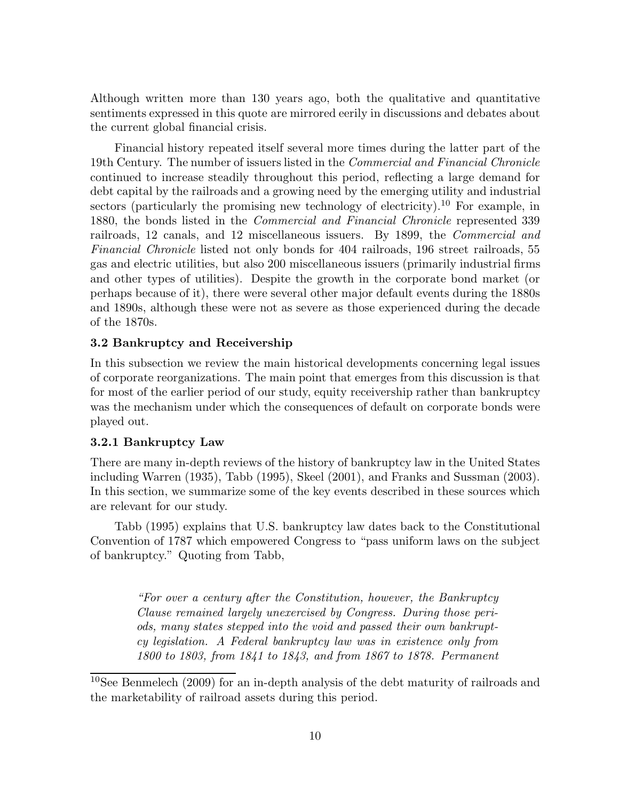Although written more than 130 years ago, both the qualitative and quantitative sentiments expressed in this quote are mirrored eerily in discussions and debates about the current global financial crisis.

Financial history repeated itself several more times during the latter part of the 19th Century. The number of issuers listed in the *Commercial and Financial Chronicle* continued to increase steadily throughout this period, reflecting a large demand for debt capital by the railroads and a growing need by the emerging utility and industrial sectors (particularly the promising new technology of electricity).<sup>10</sup> For example, in 1880, the bonds listed in the *Commercial and Financial Chronicle* represented 339 railroads, 12 canals, and 12 miscellaneous issuers. By 1899, the *Commercial and Financial Chronicle* listed not only bonds for 404 railroads, 196 street railroads, 55 gas and electric utilities, but also 200 miscellaneous issuers (primarily industrial firms and other types of utilities). Despite the growth in the corporate bond market (or perhaps because of it), there were several other major default events during the 1880s and 1890s, although these were not as severe as those experienced during the decade of the 1870s.

# **3.2 Bankruptcy and Receivership**

In this subsection we review the main historical developments concerning legal issues of corporate reorganizations. The main point that emerges from this discussion is that for most of the earlier period of our study, equity receivership rather than bankruptcy was the mechanism under which the consequences of default on corporate bonds were played out.

# **3.2.1 Bankruptcy Law**

There are many in-depth reviews of the history of bankruptcy law in the United States including Warren (1935), Tabb (1995), Skeel (2001), and Franks and Sussman (2003). In this section, we summarize some of the key events described in these sources which are relevant for our study.

Tabb (1995) explains that U.S. bankruptcy law dates back to the Constitutional Convention of 1787 which empowered Congress to "pass uniform laws on the subject of bankruptcy." Quoting from Tabb,

> *"For over a century after the Constitution, however, the Bankruptcy Clause remained largely unexercised by Congress. During those periods, many states stepped into the void and passed their own bankruptcy legislation. A Federal bankruptcy law was in existence only from 1800 to 1803, from 1841 to 1843, and from 1867 to 1878. Permanent*

<sup>10</sup>See Benmelech (2009) for an in-depth analysis of the debt maturity of railroads and the marketability of railroad assets during this period.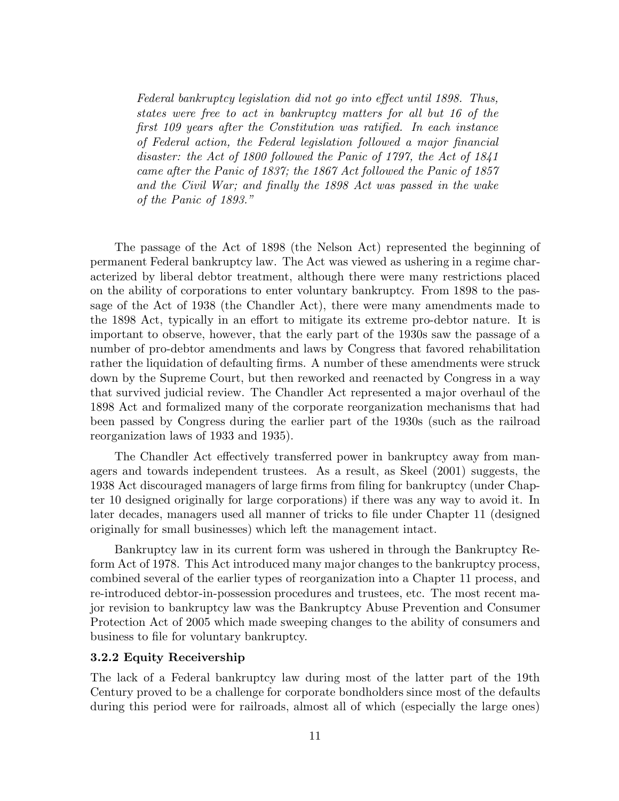*Federal bankruptcy legislation did not go into effect until 1898. Thus, states were free to act in bankruptcy matters for all but 16 of the first 109 years after the Constitution was ratified. In each instance of Federal action, the Federal legislation followed a major financial disaster: the Act of 1800 followed the Panic of 1797, the Act of 1841 came after the Panic of 1837; the 1867 Act followed the Panic of 1857 and the Civil War; and finally the 1898 Act was passed in the wake of the Panic of 1893."*

The passage of the Act of 1898 (the Nelson Act) represented the beginning of permanent Federal bankruptcy law. The Act was viewed as ushering in a regime characterized by liberal debtor treatment, although there were many restrictions placed on the ability of corporations to enter voluntary bankruptcy. From 1898 to the passage of the Act of 1938 (the Chandler Act), there were many amendments made to the 1898 Act, typically in an effort to mitigate its extreme pro-debtor nature. It is important to observe, however, that the early part of the 1930s saw the passage of a number of pro-debtor amendments and laws by Congress that favored rehabilitation rather the liquidation of defaulting firms. A number of these amendments were struck down by the Supreme Court, but then reworked and reenacted by Congress in a way that survived judicial review. The Chandler Act represented a major overhaul of the 1898 Act and formalized many of the corporate reorganization mechanisms that had been passed by Congress during the earlier part of the 1930s (such as the railroad reorganization laws of 1933 and 1935).

The Chandler Act effectively transferred power in bankruptcy away from managers and towards independent trustees. As a result, as Skeel (2001) suggests, the 1938 Act discouraged managers of large firms from filing for bankruptcy (under Chapter 10 designed originally for large corporations) if there was any way to avoid it. In later decades, managers used all manner of tricks to file under Chapter 11 (designed originally for small businesses) which left the management intact.

Bankruptcy law in its current form was ushered in through the Bankruptcy Reform Act of 1978. This Act introduced many major changes to the bankruptcy process, combined several of the earlier types of reorganization into a Chapter 11 process, and re-introduced debtor-in-possession procedures and trustees, etc. The most recent major revision to bankruptcy law was the Bankruptcy Abuse Prevention and Consumer Protection Act of 2005 which made sweeping changes to the ability of consumers and business to file for voluntary bankruptcy.

#### **3.2.2 Equity Receivership**

The lack of a Federal bankruptcy law during most of the latter part of the 19th Century proved to be a challenge for corporate bondholders since most of the defaults during this period were for railroads, almost all of which (especially the large ones)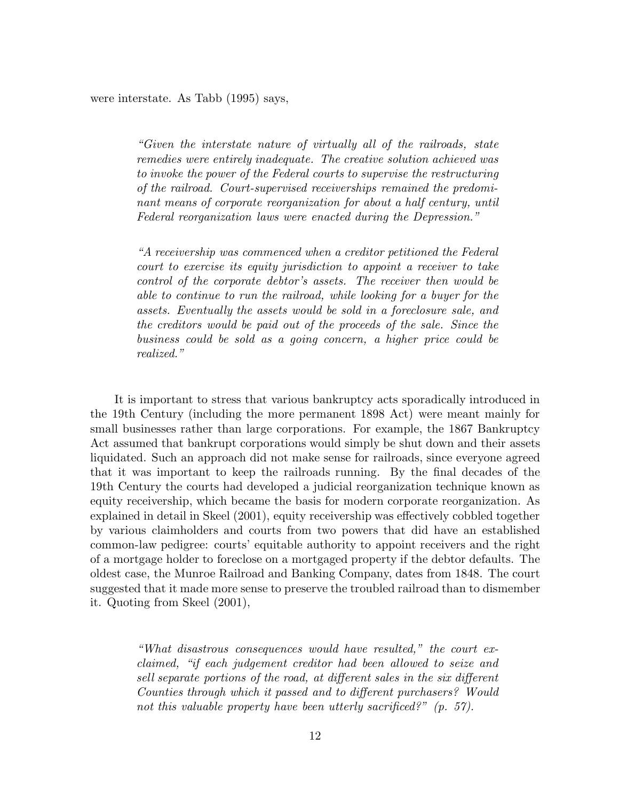were interstate. As Tabb (1995) says,

*"Given the interstate nature of virtually all of the railroads, state remedies were entirely inadequate. The creative solution achieved was to invoke the power of the Federal courts to supervise the restructuring of the railroad. Court-supervised receiverships remained the predominant means of corporate reorganization for about a half century, until Federal reorganization laws were enacted during the Depression."*

*"A receivership was commenced when a creditor petitioned the Federal court to exercise its equity jurisdiction to appoint a receiver to take control of the corporate debtor's assets. The receiver then would be able to continue to run the railroad, while looking for a buyer for the assets. Eventually the assets would be sold in a foreclosure sale, and the creditors would be paid out of the proceeds of the sale. Since the business could be sold as a going concern, a higher price could be realized."*

It is important to stress that various bankruptcy acts sporadically introduced in the 19th Century (including the more permanent 1898 Act) were meant mainly for small businesses rather than large corporations. For example, the 1867 Bankruptcy Act assumed that bankrupt corporations would simply be shut down and their assets liquidated. Such an approach did not make sense for railroads, since everyone agreed that it was important to keep the railroads running. By the final decades of the 19th Century the courts had developed a judicial reorganization technique known as equity receivership, which became the basis for modern corporate reorganization. As explained in detail in Skeel (2001), equity receivership was effectively cobbled together by various claimholders and courts from two powers that did have an established common-law pedigree: courts' equitable authority to appoint receivers and the right of a mortgage holder to foreclose on a mortgaged property if the debtor defaults. The oldest case, the Munroe Railroad and Banking Company, dates from 1848. The court suggested that it made more sense to preserve the troubled railroad than to dismember it. Quoting from Skeel (2001),

> *"What disastrous consequences would have resulted," the court exclaimed, "if each judgement creditor had been allowed to seize and sell separate portions of the road, at different sales in the six different Counties through which it passed and to different purchasers? Would not this valuable property have been utterly sacrificed?" (p. 57).*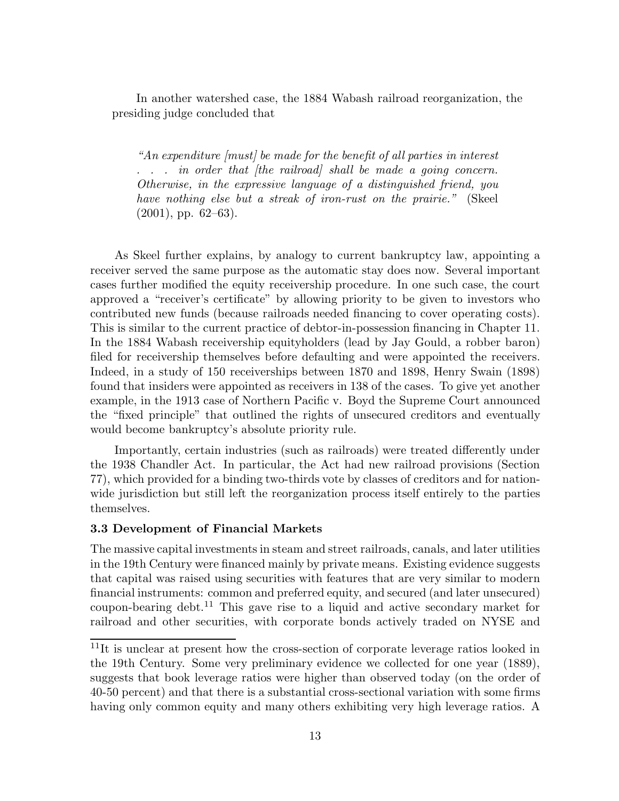In another watershed case, the 1884 Wabash railroad reorganization, the presiding judge concluded that

*"An expenditure [must] be made for the benefit of all parties in interest . . . in order that [the railroad] shall be made a going concern. Otherwise, in the expressive language of a distinguished friend, you have nothing else but a streak of iron-rust on the prairie."* (Skeel  $(2001)$ , pp. 62–63).

As Skeel further explains, by analogy to current bankruptcy law, appointing a receiver served the same purpose as the automatic stay does now. Several important cases further modified the equity receivership procedure. In one such case, the court approved a "receiver's certificate" by allowing priority to be given to investors who contributed new funds (because railroads needed financing to cover operating costs). This is similar to the current practice of debtor-in-possession financing in Chapter 11. In the 1884 Wabash receivership equityholders (lead by Jay Gould, a robber baron) filed for receivership themselves before defaulting and were appointed the receivers. Indeed, in a study of 150 receiverships between 1870 and 1898, Henry Swain (1898) found that insiders were appointed as receivers in 138 of the cases. To give yet another example, in the 1913 case of Northern Pacific v. Boyd the Supreme Court announced the "fixed principle" that outlined the rights of unsecured creditors and eventually would become bankruptcy's absolute priority rule.

Importantly, certain industries (such as railroads) were treated differently under the 1938 Chandler Act. In particular, the Act had new railroad provisions (Section 77), which provided for a binding two-thirds vote by classes of creditors and for nationwide jurisdiction but still left the reorganization process itself entirely to the parties themselves.

#### **3.3 Development of Financial Markets**

The massive capital investments in steam and street railroads, canals, and later utilities in the 19th Century were financed mainly by private means. Existing evidence suggests that capital was raised using securities with features that are very similar to modern financial instruments: common and preferred equity, and secured (and later unsecured) coupon-bearing debt.<sup>11</sup> This gave rise to a liquid and active secondary market for railroad and other securities, with corporate bonds actively traded on NYSE and

<sup>&</sup>lt;sup>11</sup>It is unclear at present how the cross-section of corporate leverage ratios looked in the 19th Century. Some very preliminary evidence we collected for one year (1889), suggests that book leverage ratios were higher than observed today (on the order of 40-50 percent) and that there is a substantial cross-sectional variation with some firms having only common equity and many others exhibiting very high leverage ratios. A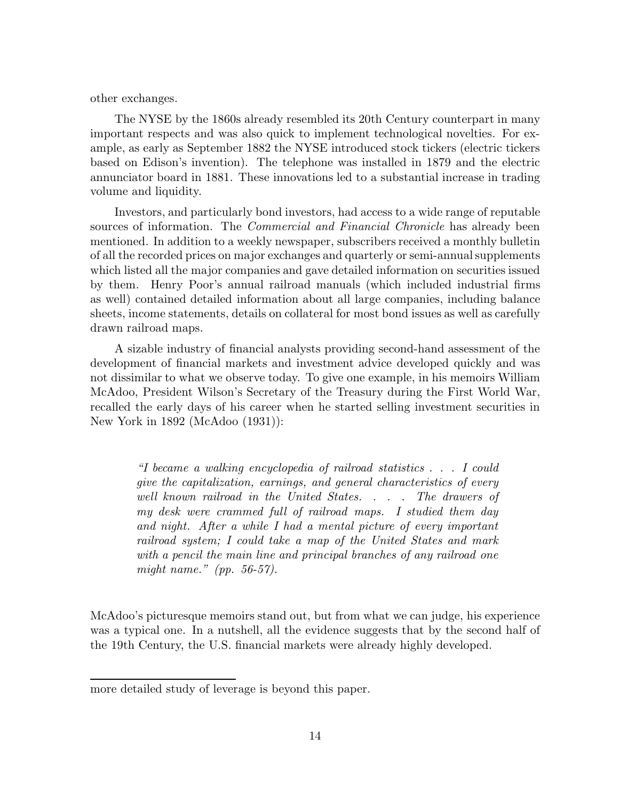other exchanges.

The NYSE by the 1860s already resembled its 20th Century counterpart in many important respects and was also quick to implement technological novelties. For example, as early as September 1882 the NYSE introduced stock tickers (electric tickers based on Edison's invention). The telephone was installed in 1879 and the electric annunciator board in 1881. These innovations led to a substantial increase in trading volume and liquidity.

Investors, and particularly bond investors, had access to a wide range of reputable sources of information. The *Commercial and Financial Chronicle* has already been mentioned. In addition to a weekly newspaper, subscribers received a monthly bulletin of all the recorded prices on major exchanges and quarterly or semi-annual supplements which listed all the major companies and gave detailed information on securities issued by them. Henry Poor's annual railroad manuals (which included industrial firms as well) contained detailed information about all large companies, including balance sheets, income statements, details on collateral for most bond issues as well as carefully drawn railroad maps.

A sizable industry of financial analysts providing second-hand assessment of the development of financial markets and investment advice developed quickly and was not dissimilar to what we observe today. To give one example, in his memoirs William McAdoo, President Wilson's Secretary of the Treasury during the First World War, recalled the early days of his career when he started selling investment securities in New York in 1892 (McAdoo (1931)):

> *"I became a walking encyclopedia of railroad statistics . . . I could give the capitalization, earnings, and general characteristics of every well known railroad in the United States. . . . The drawers of my desk were crammed full of railroad maps. I studied them day and night. After a while I had a mental picture of every important railroad system; I could take a map of the United States and mark with a pencil the main line and principal branches of any railroad one might name." (pp. 56-57).*

McAdoo's picturesque memoirs stand out, but from what we can judge, his experience was a typical one. In a nutshell, all the evidence suggests that by the second half of the 19th Century, the U.S. financial markets were already highly developed.

more detailed study of leverage is beyond this paper.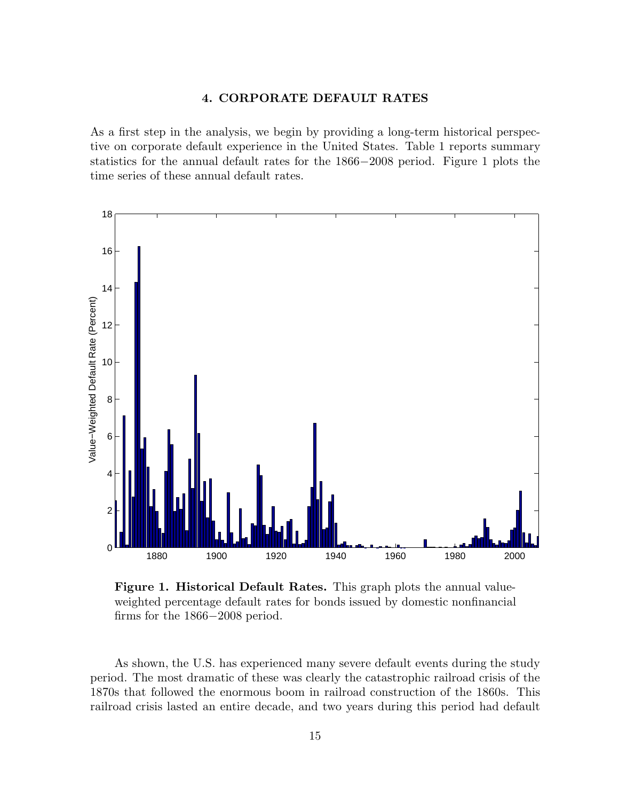## **4. CORPORATE DEFAULT RATES**

As a first step in the analysis, we begin by providing a long-term historical perspective on corporate default experience in the United States. Table 1 reports summary statistics for the annual default rates for the 1866*−*2008 period. Figure 1 plots the time series of these annual default rates.



**Figure 1. Historical Default Rates.** This graph plots the annual valueweighted percentage default rates for bonds issued by domestic nonfinancial firms for the 1866*−*2008 period.

As shown, the U.S. has experienced many severe default events during the study period. The most dramatic of these was clearly the catastrophic railroad crisis of the 1870s that followed the enormous boom in railroad construction of the 1860s. This railroad crisis lasted an entire decade, and two years during this period had default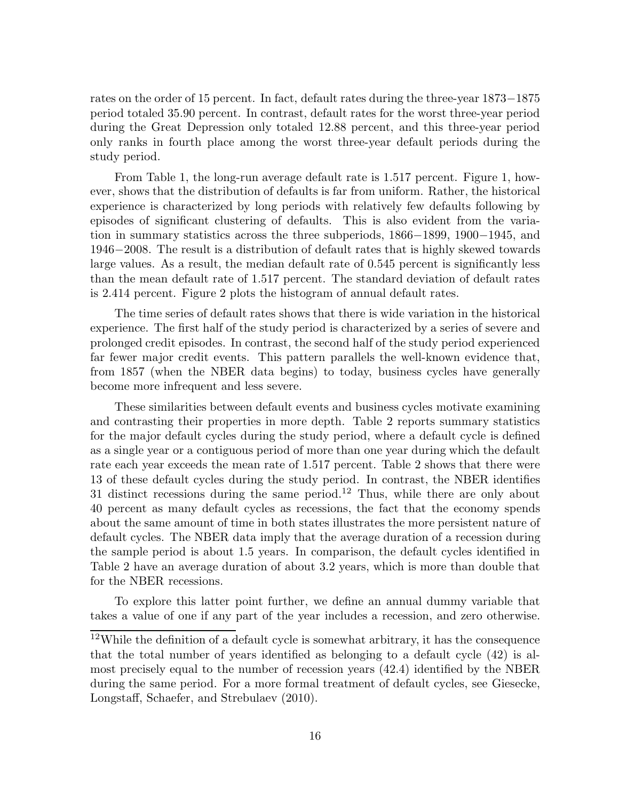rates on the order of 15 percent. In fact, default rates during the three-year 1873*−*1875 period totaled 35.90 percent. In contrast, default rates for the worst three-year period during the Great Depression only totaled 12.88 percent, and this three-year period only ranks in fourth place among the worst three-year default periods during the study period.

From Table 1, the long-run average default rate is 1.517 percent. Figure 1, however, shows that the distribution of defaults is far from uniform. Rather, the historical experience is characterized by long periods with relatively few defaults following by episodes of significant clustering of defaults. This is also evident from the variation in summary statistics across the three subperiods, 1866*−*1899, 1900*−*1945, and 1946*−*2008. The result is a distribution of default rates that is highly skewed towards large values. As a result, the median default rate of 0.545 percent is significantly less than the mean default rate of 1.517 percent. The standard deviation of default rates is 2.414 percent. Figure 2 plots the histogram of annual default rates.

The time series of default rates shows that there is wide variation in the historical experience. The first half of the study period is characterized by a series of severe and prolonged credit episodes. In contrast, the second half of the study period experienced far fewer major credit events. This pattern parallels the well-known evidence that, from 1857 (when the NBER data begins) to today, business cycles have generally become more infrequent and less severe.

These similarities between default events and business cycles motivate examining and contrasting their properties in more depth. Table 2 reports summary statistics for the major default cycles during the study period, where a default cycle is defined as a single year or a contiguous period of more than one year during which the default rate each year exceeds the mean rate of 1.517 percent. Table 2 shows that there were 13 of these default cycles during the study period. In contrast, the NBER identifies 31 distinct recessions during the same period.<sup>12</sup> Thus, while there are only about 40 percent as many default cycles as recessions, the fact that the economy spends about the same amount of time in both states illustrates the more persistent nature of default cycles. The NBER data imply that the average duration of a recession during the sample period is about 1.5 years. In comparison, the default cycles identified in Table 2 have an average duration of about 3.2 years, which is more than double that for the NBER recessions.

To explore this latter point further, we define an annual dummy variable that takes a value of one if any part of the year includes a recession, and zero otherwise.

<sup>&</sup>lt;sup>12</sup>While the definition of a default cycle is somewhat arbitrary, it has the consequence that the total number of years identified as belonging to a default cycle (42) is almost precisely equal to the number of recession years (42.4) identified by the NBER during the same period. For a more formal treatment of default cycles, see Giesecke, Longstaff, Schaefer, and Strebulaev (2010).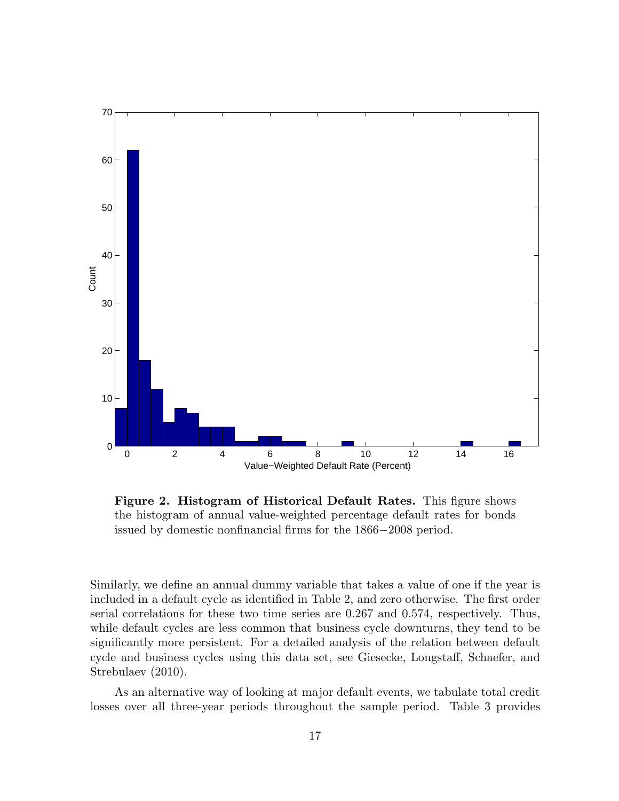

**Figure 2. Histogram of Historical Default Rates.** This figure shows the histogram of annual value-weighted percentage default rates for bonds issued by domestic nonfinancial firms for the 1866*−*2008 period.

Similarly, we define an annual dummy variable that takes a value of one if the year is included in a default cycle as identified in Table 2, and zero otherwise. The first order serial correlations for these two time series are 0.267 and 0.574, respectively. Thus, while default cycles are less common that business cycle downturns, they tend to be significantly more persistent. For a detailed analysis of the relation between default cycle and business cycles using this data set, see Giesecke, Longstaff, Schaefer, and Strebulaev (2010).

As an alternative way of looking at major default events, we tabulate total credit losses over all three-year periods throughout the sample period. Table 3 provides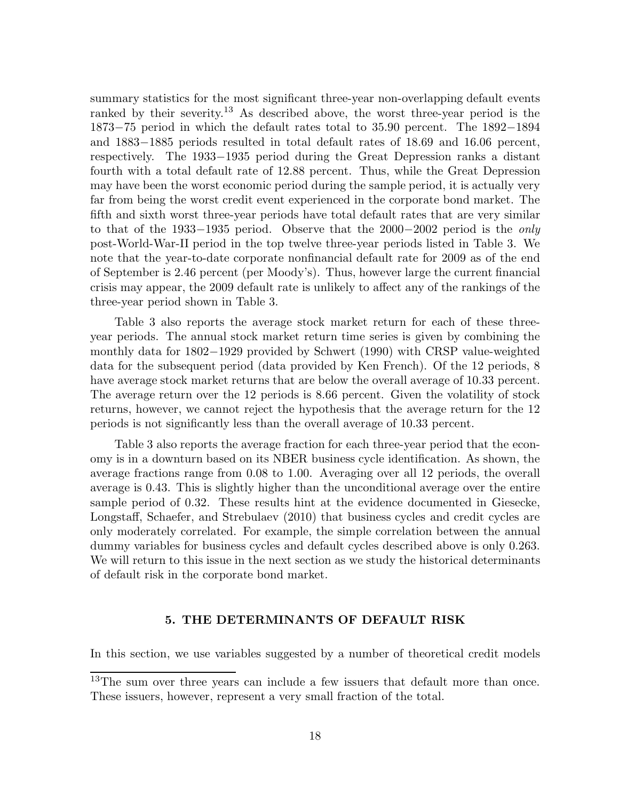summary statistics for the most significant three-year non-overlapping default events ranked by their severity.<sup>13</sup> As described above, the worst three-year period is the 1873*−*75 period in which the default rates total to 35.90 percent. The 1892*−*1894 and 1883*−*1885 periods resulted in total default rates of 18.69 and 16.06 percent, respectively. The 1933*−*1935 period during the Great Depression ranks a distant fourth with a total default rate of 12.88 percent. Thus, while the Great Depression may have been the worst economic period during the sample period, it is actually very far from being the worst credit event experienced in the corporate bond market. The fifth and sixth worst three-year periods have total default rates that are very similar to that of the 1933*−*1935 period. Observe that the 2000*−*2002 period is the *only* post-World-War-II period in the top twelve three-year periods listed in Table 3. We note that the year-to-date corporate nonfinancial default rate for 2009 as of the end of September is 2.46 percent (per Moody's). Thus, however large the current financial crisis may appear, the 2009 default rate is unlikely to affect any of the rankings of the three-year period shown in Table 3.

Table 3 also reports the average stock market return for each of these threeyear periods. The annual stock market return time series is given by combining the monthly data for 1802*−*1929 provided by Schwert (1990) with CRSP value-weighted data for the subsequent period (data provided by Ken French). Of the 12 periods, 8 have average stock market returns that are below the overall average of 10.33 percent. The average return over the 12 periods is 8.66 percent. Given the volatility of stock returns, however, we cannot reject the hypothesis that the average return for the 12 periods is not significantly less than the overall average of 10.33 percent.

Table 3 also reports the average fraction for each three-year period that the economy is in a downturn based on its NBER business cycle identification. As shown, the average fractions range from 0.08 to 1.00. Averaging over all 12 periods, the overall average is 0.43. This is slightly higher than the unconditional average over the entire sample period of 0.32. These results hint at the evidence documented in Giesecke, Longstaff, Schaefer, and Strebulaev (2010) that business cycles and credit cycles are only moderately correlated. For example, the simple correlation between the annual dummy variables for business cycles and default cycles described above is only 0.263. We will return to this issue in the next section as we study the historical determinants of default risk in the corporate bond market.

# **5. THE DETERMINANTS OF DEFAULT RISK**

In this section, we use variables suggested by a number of theoretical credit models

<sup>&</sup>lt;sup>13</sup>The sum over three years can include a few issuers that default more than once. These issuers, however, represent a very small fraction of the total.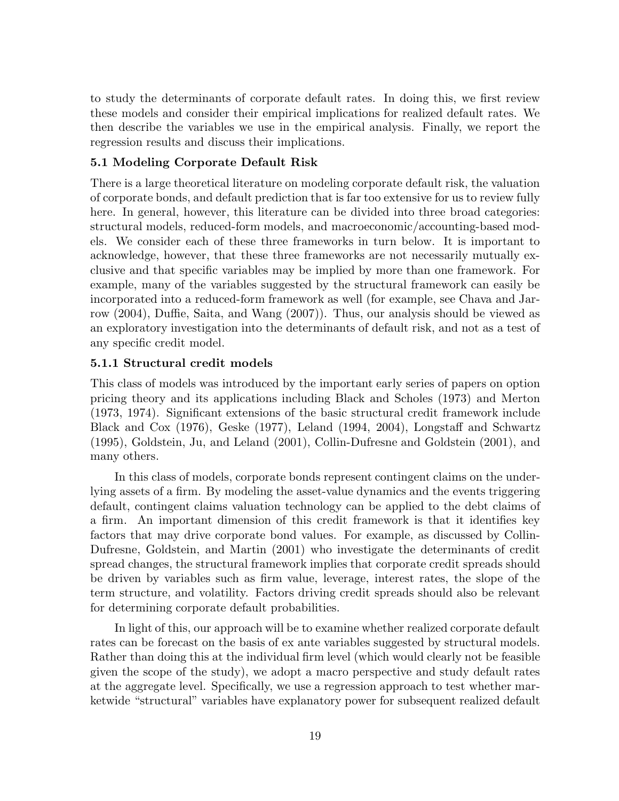to study the determinants of corporate default rates. In doing this, we first review these models and consider their empirical implications for realized default rates. We then describe the variables we use in the empirical analysis. Finally, we report the regression results and discuss their implications.

## **5.1 Modeling Corporate Default Risk**

There is a large theoretical literature on modeling corporate default risk, the valuation of corporate bonds, and default prediction that is far too extensive for us to review fully here. In general, however, this literature can be divided into three broad categories: structural models, reduced-form models, and macroeconomic/accounting-based models. We consider each of these three frameworks in turn below. It is important to acknowledge, however, that these three frameworks are not necessarily mutually exclusive and that specific variables may be implied by more than one framework. For example, many of the variables suggested by the structural framework can easily be incorporated into a reduced-form framework as well (for example, see Chava and Jarrow (2004), Duffie, Saita, and Wang (2007)). Thus, our analysis should be viewed as an exploratory investigation into the determinants of default risk, and not as a test of any specific credit model.

#### **5.1.1 Structural credit models**

This class of models was introduced by the important early series of papers on option pricing theory and its applications including Black and Scholes (1973) and Merton (1973, 1974). Significant extensions of the basic structural credit framework include Black and Cox (1976), Geske (1977), Leland (1994, 2004), Longstaff and Schwartz (1995), Goldstein, Ju, and Leland (2001), Collin-Dufresne and Goldstein (2001), and many others.

In this class of models, corporate bonds represent contingent claims on the underlying assets of a firm. By modeling the asset-value dynamics and the events triggering default, contingent claims valuation technology can be applied to the debt claims of a firm. An important dimension of this credit framework is that it identifies key factors that may drive corporate bond values. For example, as discussed by Collin-Dufresne, Goldstein, and Martin (2001) who investigate the determinants of credit spread changes, the structural framework implies that corporate credit spreads should be driven by variables such as firm value, leverage, interest rates, the slope of the term structure, and volatility. Factors driving credit spreads should also be relevant for determining corporate default probabilities.

In light of this, our approach will be to examine whether realized corporate default rates can be forecast on the basis of ex ante variables suggested by structural models. Rather than doing this at the individual firm level (which would clearly not be feasible given the scope of the study), we adopt a macro perspective and study default rates at the aggregate level. Specifically, we use a regression approach to test whether marketwide "structural" variables have explanatory power for subsequent realized default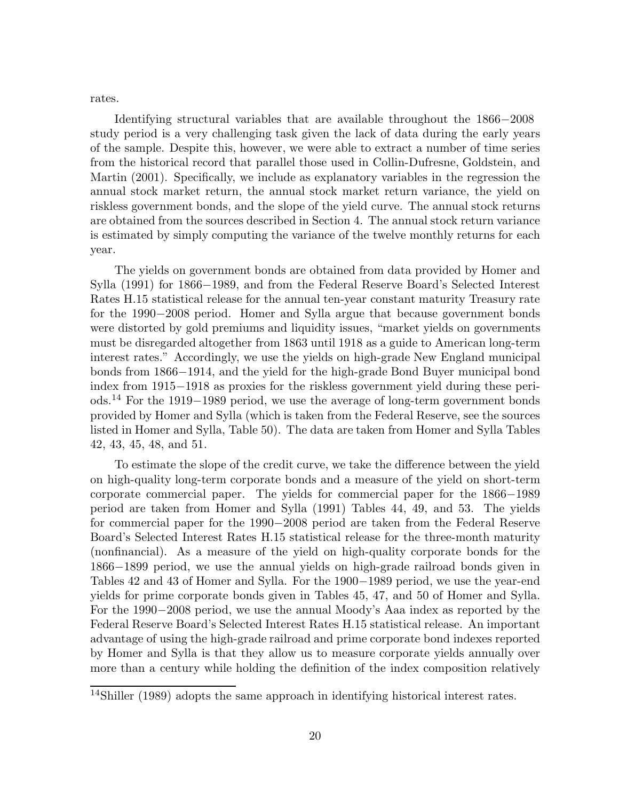rates.

Identifying structural variables that are available throughout the 1866*−*2008 study period is a very challenging task given the lack of data during the early years of the sample. Despite this, however, we were able to extract a number of time series from the historical record that parallel those used in Collin-Dufresne, Goldstein, and Martin (2001). Specifically, we include as explanatory variables in the regression the annual stock market return, the annual stock market return variance, the yield on riskless government bonds, and the slope of the yield curve. The annual stock returns are obtained from the sources described in Section 4. The annual stock return variance is estimated by simply computing the variance of the twelve monthly returns for each year.

The yields on government bonds are obtained from data provided by Homer and Sylla (1991) for 1866*−*1989, and from the Federal Reserve Board's Selected Interest Rates H.15 statistical release for the annual ten-year constant maturity Treasury rate for the 1990*−*2008 period. Homer and Sylla argue that because government bonds were distorted by gold premiums and liquidity issues, "market yields on governments must be disregarded altogether from 1863 until 1918 as a guide to American long-term interest rates." Accordingly, we use the yields on high-grade New England municipal bonds from 1866*−*1914, and the yield for the high-grade Bond Buyer municipal bond index from 1915*−*1918 as proxies for the riskless government yield during these periods.<sup>14</sup> For the 1919*−*1989 period, we use the average of long-term government bonds provided by Homer and Sylla (which is taken from the Federal Reserve, see the sources listed in Homer and Sylla, Table 50). The data are taken from Homer and Sylla Tables 42, 43, 45, 48, and 51.

To estimate the slope of the credit curve, we take the difference between the yield on high-quality long-term corporate bonds and a measure of the yield on short-term corporate commercial paper. The yields for commercial paper for the 1866*−*1989 period are taken from Homer and Sylla (1991) Tables 44, 49, and 53. The yields for commercial paper for the 1990*−*2008 period are taken from the Federal Reserve Board's Selected Interest Rates H.15 statistical release for the three-month maturity (nonfinancial). As a measure of the yield on high-quality corporate bonds for the 1866*−*1899 period, we use the annual yields on high-grade railroad bonds given in Tables 42 and 43 of Homer and Sylla. For the 1900*−*1989 period, we use the year-end yields for prime corporate bonds given in Tables 45, 47, and 50 of Homer and Sylla. For the 1990*−*2008 period, we use the annual Moody's Aaa index as reported by the Federal Reserve Board's Selected Interest Rates H.15 statistical release. An important advantage of using the high-grade railroad and prime corporate bond indexes reported by Homer and Sylla is that they allow us to measure corporate yields annually over more than a century while holding the definition of the index composition relatively

<sup>&</sup>lt;sup>14</sup>Shiller (1989) adopts the same approach in identifying historical interest rates.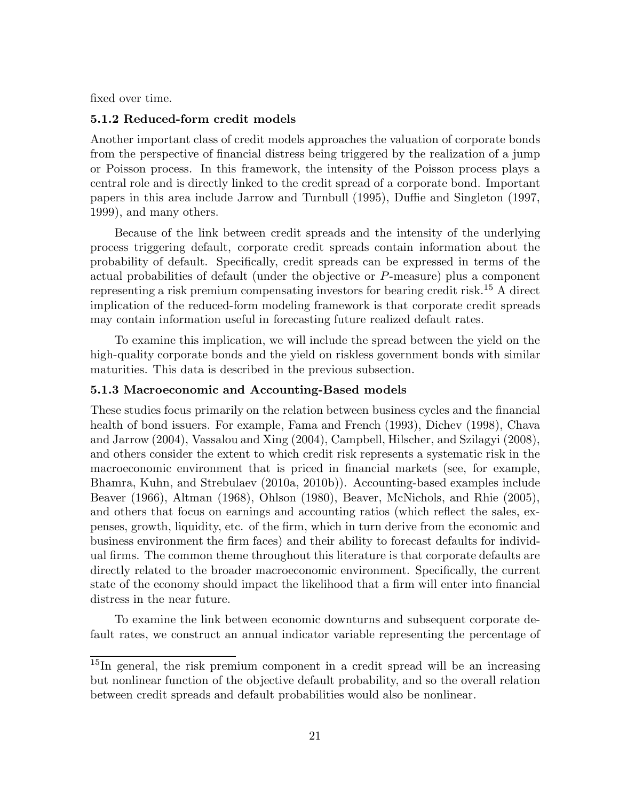fixed over time.

#### **5.1.2 Reduced-form credit models**

Another important class of credit models approaches the valuation of corporate bonds from the perspective of financial distress being triggered by the realization of a jump or Poisson process. In this framework, the intensity of the Poisson process plays a central role and is directly linked to the credit spread of a corporate bond. Important papers in this area include Jarrow and Turnbull (1995), Duffie and Singleton (1997, 1999), and many others.

Because of the link between credit spreads and the intensity of the underlying process triggering default, corporate credit spreads contain information about the probability of default. Specifically, credit spreads can be expressed in terms of the actual probabilities of default (under the objective or *P*-measure) plus a component representing a risk premium compensating investors for bearing credit risk.<sup>15</sup> A direct implication of the reduced-form modeling framework is that corporate credit spreads may contain information useful in forecasting future realized default rates.

To examine this implication, we will include the spread between the yield on the high-quality corporate bonds and the yield on riskless government bonds with similar maturities. This data is described in the previous subsection.

### **5.1.3 Macroeconomic and Accounting-Based models**

These studies focus primarily on the relation between business cycles and the financial health of bond issuers. For example, Fama and French (1993), Dichev (1998), Chava and Jarrow (2004), Vassalou and Xing (2004), Campbell, Hilscher, and Szilagyi (2008), and others consider the extent to which credit risk represents a systematic risk in the macroeconomic environment that is priced in financial markets (see, for example, Bhamra, Kuhn, and Strebulaev (2010a, 2010b)). Accounting-based examples include Beaver (1966), Altman (1968), Ohlson (1980), Beaver, McNichols, and Rhie (2005), and others that focus on earnings and accounting ratios (which reflect the sales, expenses, growth, liquidity, etc. of the firm, which in turn derive from the economic and business environment the firm faces) and their ability to forecast defaults for individual firms. The common theme throughout this literature is that corporate defaults are directly related to the broader macroeconomic environment. Specifically, the current state of the economy should impact the likelihood that a firm will enter into financial distress in the near future.

To examine the link between economic downturns and subsequent corporate default rates, we construct an annual indicator variable representing the percentage of

 $15$ In general, the risk premium component in a credit spread will be an increasing but nonlinear function of the objective default probability, and so the overall relation between credit spreads and default probabilities would also be nonlinear.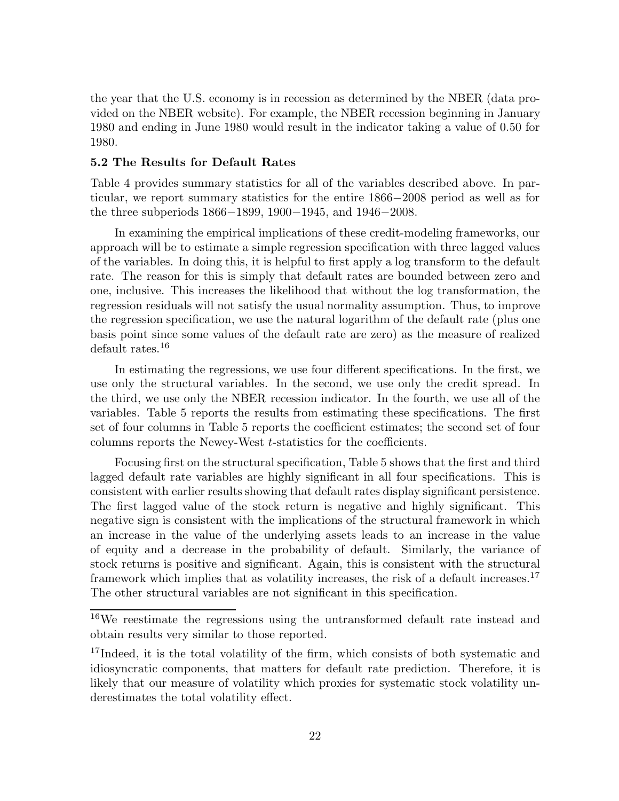the year that the U.S. economy is in recession as determined by the NBER (data provided on the NBER website). For example, the NBER recession beginning in January 1980 and ending in June 1980 would result in the indicator taking a value of 0.50 for 1980.

### **5.2 The Results for Default Rates**

Table 4 provides summary statistics for all of the variables described above. In particular, we report summary statistics for the entire 1866*−*2008 period as well as for the three subperiods 1866*−*1899, 1900*−*1945, and 1946*−*2008.

In examining the empirical implications of these credit-modeling frameworks, our approach will be to estimate a simple regression specification with three lagged values of the variables. In doing this, it is helpful to first apply a log transform to the default rate. The reason for this is simply that default rates are bounded between zero and one, inclusive. This increases the likelihood that without the log transformation, the regression residuals will not satisfy the usual normality assumption. Thus, to improve the regression specification, we use the natural logarithm of the default rate (plus one basis point since some values of the default rate are zero) as the measure of realized default rates.<sup>16</sup>

In estimating the regressions, we use four different specifications. In the first, we use only the structural variables. In the second, we use only the credit spread. In the third, we use only the NBER recession indicator. In the fourth, we use all of the variables. Table 5 reports the results from estimating these specifications. The first set of four columns in Table 5 reports the coefficient estimates; the second set of four columns reports the Newey-West *t*-statistics for the coefficients.

Focusing first on the structural specification, Table 5 shows that the first and third lagged default rate variables are highly significant in all four specifications. This is consistent with earlier results showing that default rates display significant persistence. The first lagged value of the stock return is negative and highly significant. This negative sign is consistent with the implications of the structural framework in which an increase in the value of the underlying assets leads to an increase in the value of equity and a decrease in the probability of default. Similarly, the variance of stock returns is positive and significant. Again, this is consistent with the structural framework which implies that as volatility increases, the risk of a default increases.<sup>17</sup> The other structural variables are not significant in this specification.

<sup>16</sup>We reestimate the regressions using the untransformed default rate instead and obtain results very similar to those reported.

<sup>&</sup>lt;sup>17</sup>Indeed, it is the total volatility of the firm, which consists of both systematic and idiosyncratic components, that matters for default rate prediction. Therefore, it is likely that our measure of volatility which proxies for systematic stock volatility underestimates the total volatility effect.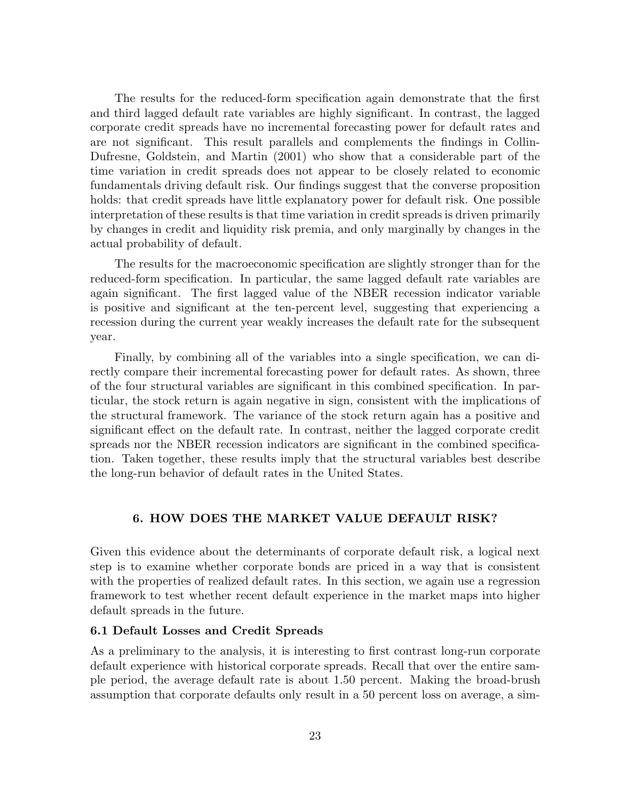The results for the reduced-form specification again demonstrate that the first and third lagged default rate variables are highly significant. In contrast, the lagged corporate credit spreads have no incremental forecasting power for default rates and are not significant. This result parallels and complements the findings in Collin-Dufresne, Goldstein, and Martin (2001) who show that a considerable part of the time variation in credit spreads does not appear to be closely related to economic fundamentals driving default risk. Our findings suggest that the converse proposition holds: that credit spreads have little explanatory power for default risk. One possible interpretation of these results is that time variation in credit spreads is driven primarily by changes in credit and liquidity risk premia, and only marginally by changes in the actual probability of default.

The results for the macroeconomic specification are slightly stronger than for the reduced-form specification. In particular, the same lagged default rate variables are again significant. The first lagged value of the NBER recession indicator variable is positive and significant at the ten-percent level, suggesting that experiencing a recession during the current year weakly increases the default rate for the subsequent year.

Finally, by combining all of the variables into a single specification, we can directly compare their incremental forecasting power for default rates. As shown, three of the four structural variables are significant in this combined specification. In particular, the stock return is again negative in sign, consistent with the implications of the structural framework. The variance of the stock return again has a positive and significant effect on the default rate. In contrast, neither the lagged corporate credit spreads nor the NBER recession indicators are significant in the combined specification. Taken together, these results imply that the structural variables best describe the long-run behavior of default rates in the United States.

## **6. HOW DOES THE MARKET VALUE DEFAULT RISK?**

Given this evidence about the determinants of corporate default risk, a logical next step is to examine whether corporate bonds are priced in a way that is consistent with the properties of realized default rates. In this section, we again use a regression framework to test whether recent default experience in the market maps into higher default spreads in the future.

## **6.1 Default Losses and Credit Spreads**

As a preliminary to the analysis, it is interesting to first contrast long-run corporate default experience with historical corporate spreads. Recall that over the entire sample period, the average default rate is about 1.50 percent. Making the broad-brush assumption that corporate defaults only result in a 50 percent loss on average, a sim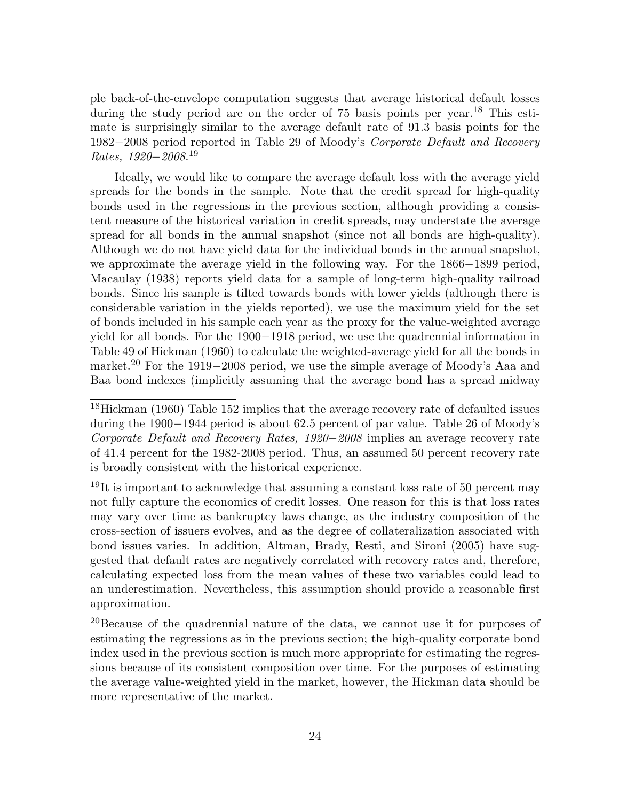ple back-of-the-envelope computation suggests that average historical default losses during the study period are on the order of  $75$  basis points per year.<sup>18</sup> This estimate is surprisingly similar to the average default rate of 91.3 basis points for the 1982*−*2008 period reported in Table 29 of Moody's *Corporate Default and Recovery Rates, 1920−2008*. 19

Ideally, we would like to compare the average default loss with the average yield spreads for the bonds in the sample. Note that the credit spread for high-quality bonds used in the regressions in the previous section, although providing a consistent measure of the historical variation in credit spreads, may understate the average spread for all bonds in the annual snapshot (since not all bonds are high-quality). Although we do not have yield data for the individual bonds in the annual snapshot, we approximate the average yield in the following way. For the 1866*−*1899 period, Macaulay (1938) reports yield data for a sample of long-term high-quality railroad bonds. Since his sample is tilted towards bonds with lower yields (although there is considerable variation in the yields reported), we use the maximum yield for the set of bonds included in his sample each year as the proxy for the value-weighted average yield for all bonds. For the 1900*−*1918 period, we use the quadrennial information in Table 49 of Hickman (1960) to calculate the weighted-average yield for all the bonds in market.<sup>20</sup> For the 1919*−*2008 period, we use the simple average of Moody's Aaa and Baa bond indexes (implicitly assuming that the average bond has a spread midway

<sup>19</sup>It is important to acknowledge that assuming a constant loss rate of 50 percent may not fully capture the economics of credit losses. One reason for this is that loss rates may vary over time as bankruptcy laws change, as the industry composition of the cross-section of issuers evolves, and as the degree of collateralization associated with bond issues varies. In addition, Altman, Brady, Resti, and Sironi (2005) have suggested that default rates are negatively correlated with recovery rates and, therefore, calculating expected loss from the mean values of these two variables could lead to an underestimation. Nevertheless, this assumption should provide a reasonable first approximation.

<sup>20</sup>Because of the quadrennial nature of the data, we cannot use it for purposes of estimating the regressions as in the previous section; the high-quality corporate bond index used in the previous section is much more appropriate for estimating the regressions because of its consistent composition over time. For the purposes of estimating the average value-weighted yield in the market, however, the Hickman data should be more representative of the market.

<sup>&</sup>lt;sup>18</sup>Hickman (1960) Table 152 implies that the average recovery rate of defaulted issues during the 1900*−*1944 period is about 62.5 percent of par value. Table 26 of Moody's *Corporate Default and Recovery Rates, 1920−2008* implies an average recovery rate of 41.4 percent for the 1982-2008 period. Thus, an assumed 50 percent recovery rate is broadly consistent with the historical experience.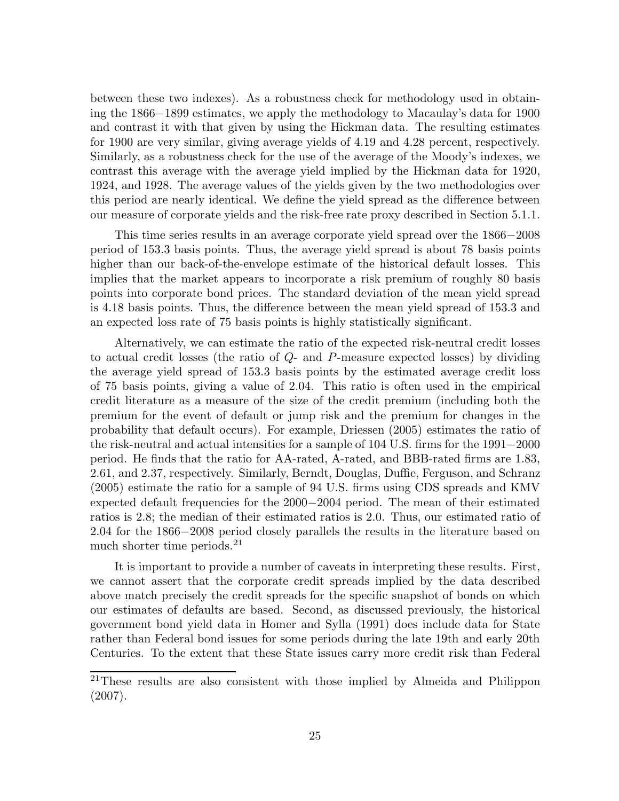between these two indexes). As a robustness check for methodology used in obtaining the 1866*−*1899 estimates, we apply the methodology to Macaulay's data for 1900 and contrast it with that given by using the Hickman data. The resulting estimates for 1900 are very similar, giving average yields of 4.19 and 4.28 percent, respectively. Similarly, as a robustness check for the use of the average of the Moody's indexes, we contrast this average with the average yield implied by the Hickman data for 1920, 1924, and 1928. The average values of the yields given by the two methodologies over this period are nearly identical. We define the yield spread as the difference between our measure of corporate yields and the risk-free rate proxy described in Section 5.1.1.

This time series results in an average corporate yield spread over the 1866*−*2008 period of 153.3 basis points. Thus, the average yield spread is about 78 basis points higher than our back-of-the-envelope estimate of the historical default losses. This implies that the market appears to incorporate a risk premium of roughly 80 basis points into corporate bond prices. The standard deviation of the mean yield spread is 4.18 basis points. Thus, the difference between the mean yield spread of 153.3 and an expected loss rate of 75 basis points is highly statistically significant.

Alternatively, we can estimate the ratio of the expected risk-neutral credit losses to actual credit losses (the ratio of *Q*- and *P*-measure expected losses) by dividing the average yield spread of 153.3 basis points by the estimated average credit loss of 75 basis points, giving a value of 2.04. This ratio is often used in the empirical credit literature as a measure of the size of the credit premium (including both the premium for the event of default or jump risk and the premium for changes in the probability that default occurs). For example, Driessen (2005) estimates the ratio of the risk-neutral and actual intensities for a sample of 104 U.S. firms for the 1991*−*2000 period. He finds that the ratio for AA-rated, A-rated, and BBB-rated firms are 1.83, 2.61, and 2.37, respectively. Similarly, Berndt, Douglas, Duffie, Ferguson, and Schranz (2005) estimate the ratio for a sample of 94 U.S. firms using CDS spreads and KMV expected default frequencies for the 2000*−*2004 period. The mean of their estimated ratios is 2.8; the median of their estimated ratios is 2.0. Thus, our estimated ratio of 2.04 for the 1866*−*2008 period closely parallels the results in the literature based on much shorter time periods.<sup>21</sup>

It is important to provide a number of caveats in interpreting these results. First, we cannot assert that the corporate credit spreads implied by the data described above match precisely the credit spreads for the specific snapshot of bonds on which our estimates of defaults are based. Second, as discussed previously, the historical government bond yield data in Homer and Sylla (1991) does include data for State rather than Federal bond issues for some periods during the late 19th and early 20th Centuries. To the extent that these State issues carry more credit risk than Federal

<sup>21</sup>These results are also consistent with those implied by Almeida and Philippon (2007).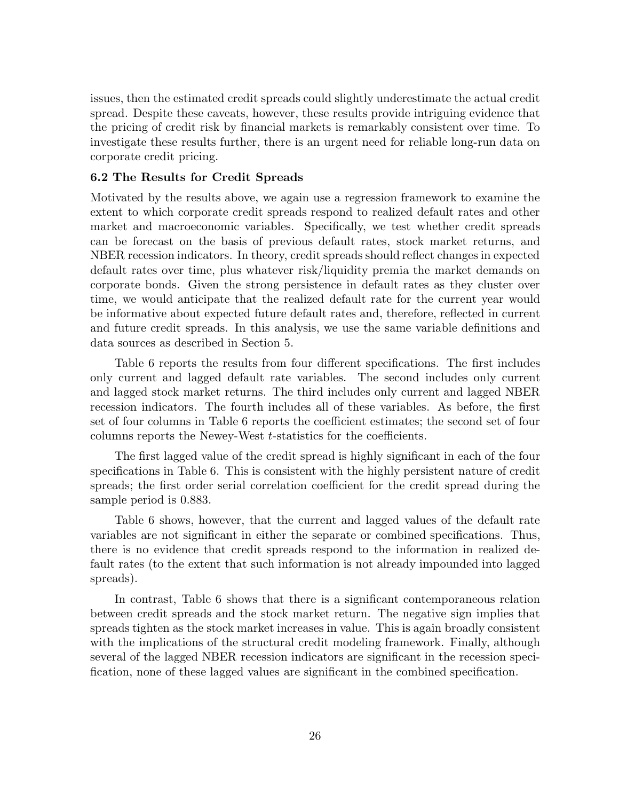issues, then the estimated credit spreads could slightly underestimate the actual credit spread. Despite these caveats, however, these results provide intriguing evidence that the pricing of credit risk by financial markets is remarkably consistent over time. To investigate these results further, there is an urgent need for reliable long-run data on corporate credit pricing.

## **6.2 The Results for Credit Spreads**

Motivated by the results above, we again use a regression framework to examine the extent to which corporate credit spreads respond to realized default rates and other market and macroeconomic variables. Specifically, we test whether credit spreads can be forecast on the basis of previous default rates, stock market returns, and NBER recession indicators. In theory, credit spreads should reflect changes in expected default rates over time, plus whatever risk/liquidity premia the market demands on corporate bonds. Given the strong persistence in default rates as they cluster over time, we would anticipate that the realized default rate for the current year would be informative about expected future default rates and, therefore, reflected in current and future credit spreads. In this analysis, we use the same variable definitions and data sources as described in Section 5.

Table 6 reports the results from four different specifications. The first includes only current and lagged default rate variables. The second includes only current and lagged stock market returns. The third includes only current and lagged NBER recession indicators. The fourth includes all of these variables. As before, the first set of four columns in Table 6 reports the coefficient estimates; the second set of four columns reports the Newey-West *t*-statistics for the coefficients.

The first lagged value of the credit spread is highly significant in each of the four specifications in Table 6. This is consistent with the highly persistent nature of credit spreads; the first order serial correlation coefficient for the credit spread during the sample period is 0.883.

Table 6 shows, however, that the current and lagged values of the default rate variables are not significant in either the separate or combined specifications. Thus, there is no evidence that credit spreads respond to the information in realized default rates (to the extent that such information is not already impounded into lagged spreads).

In contrast, Table 6 shows that there is a significant contemporaneous relation between credit spreads and the stock market return. The negative sign implies that spreads tighten as the stock market increases in value. This is again broadly consistent with the implications of the structural credit modeling framework. Finally, although several of the lagged NBER recession indicators are significant in the recession specification, none of these lagged values are significant in the combined specification.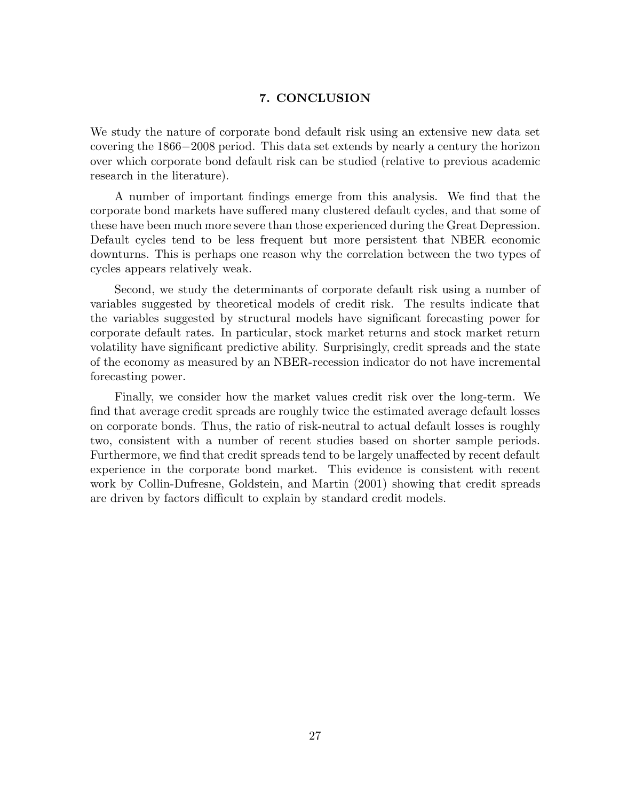## **7. CONCLUSION**

We study the nature of corporate bond default risk using an extensive new data set covering the 1866*−*2008 period. This data set extends by nearly a century the horizon over which corporate bond default risk can be studied (relative to previous academic research in the literature).

A number of important findings emerge from this analysis. We find that the corporate bond markets have suffered many clustered default cycles, and that some of these have been much more severe than those experienced during the Great Depression. Default cycles tend to be less frequent but more persistent that NBER economic downturns. This is perhaps one reason why the correlation between the two types of cycles appears relatively weak.

Second, we study the determinants of corporate default risk using a number of variables suggested by theoretical models of credit risk. The results indicate that the variables suggested by structural models have significant forecasting power for corporate default rates. In particular, stock market returns and stock market return volatility have significant predictive ability. Surprisingly, credit spreads and the state of the economy as measured by an NBER-recession indicator do not have incremental forecasting power.

Finally, we consider how the market values credit risk over the long-term. We find that average credit spreads are roughly twice the estimated average default losses on corporate bonds. Thus, the ratio of risk-neutral to actual default losses is roughly two, consistent with a number of recent studies based on shorter sample periods. Furthermore, we find that credit spreads tend to be largely unaffected by recent default experience in the corporate bond market. This evidence is consistent with recent work by Collin-Dufresne, Goldstein, and Martin (2001) showing that credit spreads are driven by factors difficult to explain by standard credit models.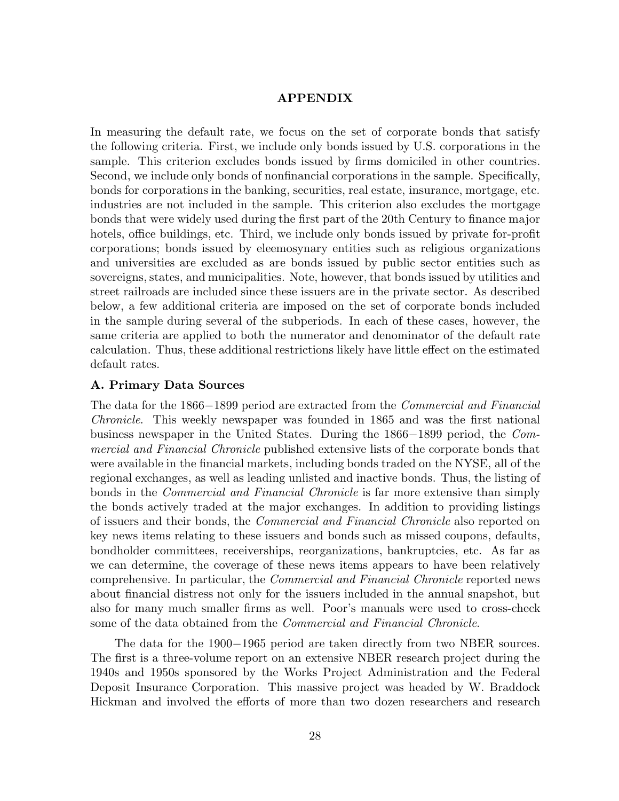### **APPENDIX**

In measuring the default rate, we focus on the set of corporate bonds that satisfy the following criteria. First, we include only bonds issued by U.S. corporations in the sample. This criterion excludes bonds issued by firms domiciled in other countries. Second, we include only bonds of nonfinancial corporations in the sample. Specifically, bonds for corporations in the banking, securities, real estate, insurance, mortgage, etc. industries are not included in the sample. This criterion also excludes the mortgage bonds that were widely used during the first part of the 20th Century to finance major hotels, office buildings, etc. Third, we include only bonds issued by private for-profit corporations; bonds issued by eleemosynary entities such as religious organizations and universities are excluded as are bonds issued by public sector entities such as sovereigns, states, and municipalities. Note, however, that bonds issued by utilities and street railroads are included since these issuers are in the private sector. As described below, a few additional criteria are imposed on the set of corporate bonds included in the sample during several of the subperiods. In each of these cases, however, the same criteria are applied to both the numerator and denominator of the default rate calculation. Thus, these additional restrictions likely have little effect on the estimated default rates.

## **A. Primary Data Sources**

The data for the 1866*−*1899 period are extracted from the *Commercial and Financial Chronicle*. This weekly newspaper was founded in 1865 and was the first national business newspaper in the United States. During the 1866*−*1899 period, the *Commercial and Financial Chronicle* published extensive lists of the corporate bonds that were available in the financial markets, including bonds traded on the NYSE, all of the regional exchanges, as well as leading unlisted and inactive bonds. Thus, the listing of bonds in the *Commercial and Financial Chronicle* is far more extensive than simply the bonds actively traded at the major exchanges. In addition to providing listings of issuers and their bonds, the *Commercial and Financial Chronicle* also reported on key news items relating to these issuers and bonds such as missed coupons, defaults, bondholder committees, receiverships, reorganizations, bankruptcies, etc. As far as we can determine, the coverage of these news items appears to have been relatively comprehensive. In particular, the *Commercial and Financial Chronicle* reported news about financial distress not only for the issuers included in the annual snapshot, but also for many much smaller firms as well. Poor's manuals were used to cross-check some of the data obtained from the *Commercial and Financial Chronicle*.

The data for the 1900*−*1965 period are taken directly from two NBER sources. The first is a three-volume report on an extensive NBER research project during the 1940s and 1950s sponsored by the Works Project Administration and the Federal Deposit Insurance Corporation. This massive project was headed by W. Braddock Hickman and involved the efforts of more than two dozen researchers and research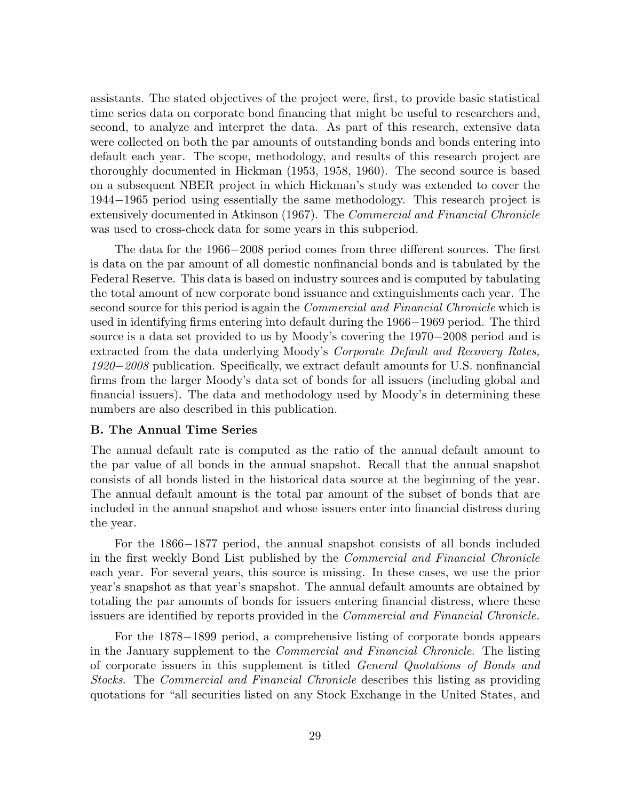assistants. The stated objectives of the project were, first, to provide basic statistical time series data on corporate bond financing that might be useful to researchers and, second, to analyze and interpret the data. As part of this research, extensive data were collected on both the par amounts of outstanding bonds and bonds entering into default each year. The scope, methodology, and results of this research project are thoroughly documented in Hickman (1953, 1958, 1960). The second source is based on a subsequent NBER project in which Hickman's study was extended to cover the 1944*−*1965 period using essentially the same methodology. This research project is extensively documented in Atkinson (1967). The *Commercial and Financial Chronicle* was used to cross-check data for some years in this subperiod.

The data for the 1966*−*2008 period comes from three different sources. The first is data on the par amount of all domestic nonfinancial bonds and is tabulated by the Federal Reserve. This data is based on industry sources and is computed by tabulating the total amount of new corporate bond issuance and extinguishments each year. The second source for this period is again the *Commercial and Financial Chronicle* which is used in identifying firms entering into default during the 1966*−*1969 period. The third source is a data set provided to us by Moody's covering the 1970*−*2008 period and is extracted from the data underlying Moody's *Corporate Default and Recovery Rates, 1920−2008* publication. Specifically, we extract default amounts for U.S. nonfinancial firms from the larger Moody's data set of bonds for all issuers (including global and financial issuers). The data and methodology used by Moody's in determining these numbers are also described in this publication.

#### **B. The Annual Time Series**

The annual default rate is computed as the ratio of the annual default amount to the par value of all bonds in the annual snapshot. Recall that the annual snapshot consists of all bonds listed in the historical data source at the beginning of the year. The annual default amount is the total par amount of the subset of bonds that are included in the annual snapshot and whose issuers enter into financial distress during the year.

For the 1866*−*1877 period, the annual snapshot consists of all bonds included in the first weekly Bond List published by the *Commercial and Financial Chronicle* each year. For several years, this source is missing. In these cases, we use the prior year's snapshot as that year's snapshot. The annual default amounts are obtained by totaling the par amounts of bonds for issuers entering financial distress, where these issuers are identified by reports provided in the *Commercial and Financial Chronicle.*

For the 1878*−*1899 period, a comprehensive listing of corporate bonds appears in the January supplement to the *Commercial and Financial Chronicle*. The listing of corporate issuers in this supplement is titled *General Quotations of Bonds and Stocks*. The *Commercial and Financial Chronicle* describes this listing as providing quotations for "all securities listed on any Stock Exchange in the United States, and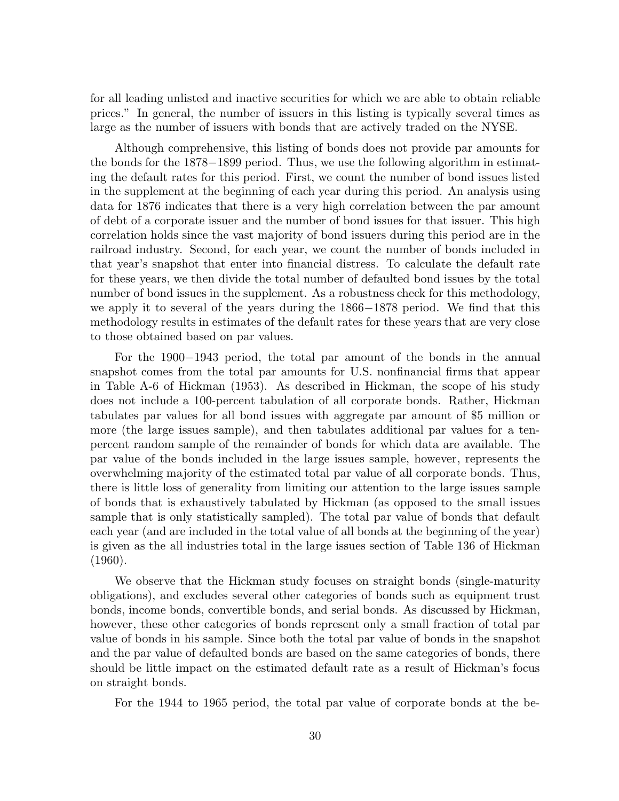for all leading unlisted and inactive securities for which we are able to obtain reliable prices." In general, the number of issuers in this listing is typically several times as large as the number of issuers with bonds that are actively traded on the NYSE.

Although comprehensive, this listing of bonds does not provide par amounts for the bonds for the 1878*−*1899 period. Thus, we use the following algorithm in estimating the default rates for this period. First, we count the number of bond issues listed in the supplement at the beginning of each year during this period. An analysis using data for 1876 indicates that there is a very high correlation between the par amount of debt of a corporate issuer and the number of bond issues for that issuer. This high correlation holds since the vast majority of bond issuers during this period are in the railroad industry. Second, for each year, we count the number of bonds included in that year's snapshot that enter into financial distress. To calculate the default rate for these years, we then divide the total number of defaulted bond issues by the total number of bond issues in the supplement. As a robustness check for this methodology, we apply it to several of the years during the 1866*−*1878 period. We find that this methodology results in estimates of the default rates for these years that are very close to those obtained based on par values.

For the 1900*−*1943 period, the total par amount of the bonds in the annual snapshot comes from the total par amounts for U.S. nonfinancial firms that appear in Table A-6 of Hickman (1953). As described in Hickman, the scope of his study does not include a 100-percent tabulation of all corporate bonds. Rather, Hickman tabulates par values for all bond issues with aggregate par amount of \$5 million or more (the large issues sample), and then tabulates additional par values for a tenpercent random sample of the remainder of bonds for which data are available. The par value of the bonds included in the large issues sample, however, represents the overwhelming majority of the estimated total par value of all corporate bonds. Thus, there is little loss of generality from limiting our attention to the large issues sample of bonds that is exhaustively tabulated by Hickman (as opposed to the small issues sample that is only statistically sampled). The total par value of bonds that default each year (and are included in the total value of all bonds at the beginning of the year) is given as the all industries total in the large issues section of Table 136 of Hickman (1960).

We observe that the Hickman study focuses on straight bonds (single-maturity obligations), and excludes several other categories of bonds such as equipment trust bonds, income bonds, convertible bonds, and serial bonds. As discussed by Hickman, however, these other categories of bonds represent only a small fraction of total par value of bonds in his sample. Since both the total par value of bonds in the snapshot and the par value of defaulted bonds are based on the same categories of bonds, there should be little impact on the estimated default rate as a result of Hickman's focus on straight bonds.

For the 1944 to 1965 period, the total par value of corporate bonds at the be-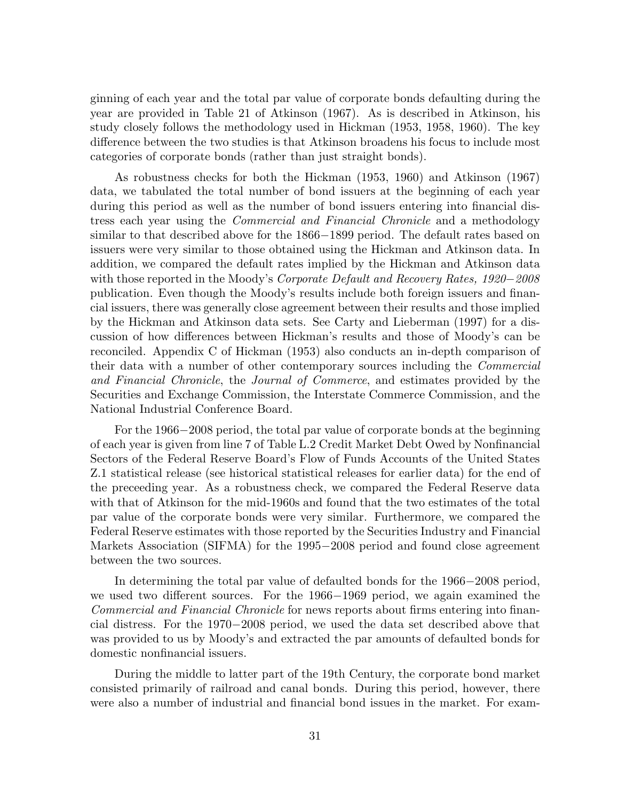ginning of each year and the total par value of corporate bonds defaulting during the year are provided in Table 21 of Atkinson (1967). As is described in Atkinson, his study closely follows the methodology used in Hickman (1953, 1958, 1960). The key difference between the two studies is that Atkinson broadens his focus to include most categories of corporate bonds (rather than just straight bonds).

As robustness checks for both the Hickman (1953, 1960) and Atkinson (1967) data, we tabulated the total number of bond issuers at the beginning of each year during this period as well as the number of bond issuers entering into financial distress each year using the *Commercial and Financial Chronicle* and a methodology similar to that described above for the 1866*−*1899 period. The default rates based on issuers were very similar to those obtained using the Hickman and Atkinson data. In addition, we compared the default rates implied by the Hickman and Atkinson data with those reported in the Moody's *Corporate Default and Recovery Rates, 1920−2008* publication. Even though the Moody's results include both foreign issuers and financial issuers, there was generally close agreement between their results and those implied by the Hickman and Atkinson data sets. See Carty and Lieberman (1997) for a discussion of how differences between Hickman's results and those of Moody's can be reconciled. Appendix C of Hickman (1953) also conducts an in-depth comparison of their data with a number of other contemporary sources including the *Commercial and Financial Chronicle*, the *Journal of Commerce*, and estimates provided by the Securities and Exchange Commission, the Interstate Commerce Commission, and the National Industrial Conference Board.

For the 1966*−*2008 period, the total par value of corporate bonds at the beginning of each year is given from line 7 of Table L.2 Credit Market Debt Owed by Nonfinancial Sectors of the Federal Reserve Board's Flow of Funds Accounts of the United States Z.1 statistical release (see historical statistical releases for earlier data) for the end of the preceeding year. As a robustness check, we compared the Federal Reserve data with that of Atkinson for the mid-1960s and found that the two estimates of the total par value of the corporate bonds were very similar. Furthermore, we compared the Federal Reserve estimates with those reported by the Securities Industry and Financial Markets Association (SIFMA) for the 1995*−*2008 period and found close agreement between the two sources.

In determining the total par value of defaulted bonds for the 1966*−*2008 period, we used two different sources. For the 1966*−*1969 period, we again examined the *Commercial and Financial Chronicle* for news reports about firms entering into financial distress. For the 1970*−*2008 period, we used the data set described above that was provided to us by Moody's and extracted the par amounts of defaulted bonds for domestic nonfinancial issuers.

During the middle to latter part of the 19th Century, the corporate bond market consisted primarily of railroad and canal bonds. During this period, however, there were also a number of industrial and financial bond issues in the market. For exam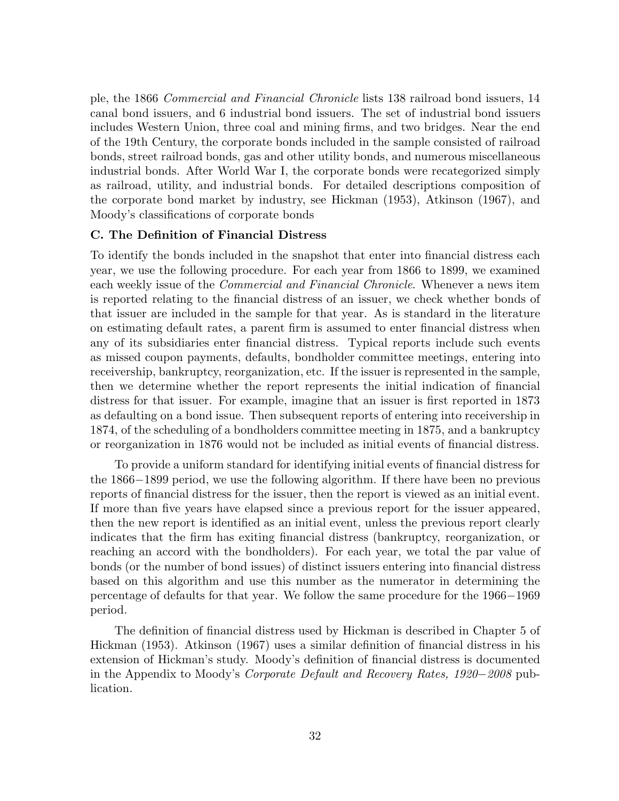ple, the 1866 *Commercial and Financial Chronicle* lists 138 railroad bond issuers, 14 canal bond issuers, and 6 industrial bond issuers. The set of industrial bond issuers includes Western Union, three coal and mining firms, and two bridges. Near the end of the 19th Century, the corporate bonds included in the sample consisted of railroad bonds, street railroad bonds, gas and other utility bonds, and numerous miscellaneous industrial bonds. After World War I, the corporate bonds were recategorized simply as railroad, utility, and industrial bonds. For detailed descriptions composition of the corporate bond market by industry, see Hickman (1953), Atkinson (1967), and Moody's classifications of corporate bonds

## **C. The Definition of Financial Distress**

To identify the bonds included in the snapshot that enter into financial distress each year, we use the following procedure. For each year from 1866 to 1899, we examined each weekly issue of the *Commercial and Financial Chronicle*. Whenever a news item is reported relating to the financial distress of an issuer, we check whether bonds of that issuer are included in the sample for that year. As is standard in the literature on estimating default rates, a parent firm is assumed to enter financial distress when any of its subsidiaries enter financial distress. Typical reports include such events as missed coupon payments, defaults, bondholder committee meetings, entering into receivership, bankruptcy, reorganization, etc. If the issuer is represented in the sample, then we determine whether the report represents the initial indication of financial distress for that issuer. For example, imagine that an issuer is first reported in 1873 as defaulting on a bond issue. Then subsequent reports of entering into receivership in 1874, of the scheduling of a bondholders committee meeting in 1875, and a bankruptcy or reorganization in 1876 would not be included as initial events of financial distress.

To provide a uniform standard for identifying initial events of financial distress for the 1866*−*1899 period, we use the following algorithm. If there have been no previous reports of financial distress for the issuer, then the report is viewed as an initial event. If more than five years have elapsed since a previous report for the issuer appeared, then the new report is identified as an initial event, unless the previous report clearly indicates that the firm has exiting financial distress (bankruptcy, reorganization, or reaching an accord with the bondholders). For each year, we total the par value of bonds (or the number of bond issues) of distinct issuers entering into financial distress based on this algorithm and use this number as the numerator in determining the percentage of defaults for that year. We follow the same procedure for the 1966*−*1969 period.

The definition of financial distress used by Hickman is described in Chapter 5 of Hickman (1953). Atkinson (1967) uses a similar definition of financial distress in his extension of Hickman's study. Moody's definition of financial distress is documented in the Appendix to Moody's *Corporate Default and Recovery Rates, 1920−2008* publication.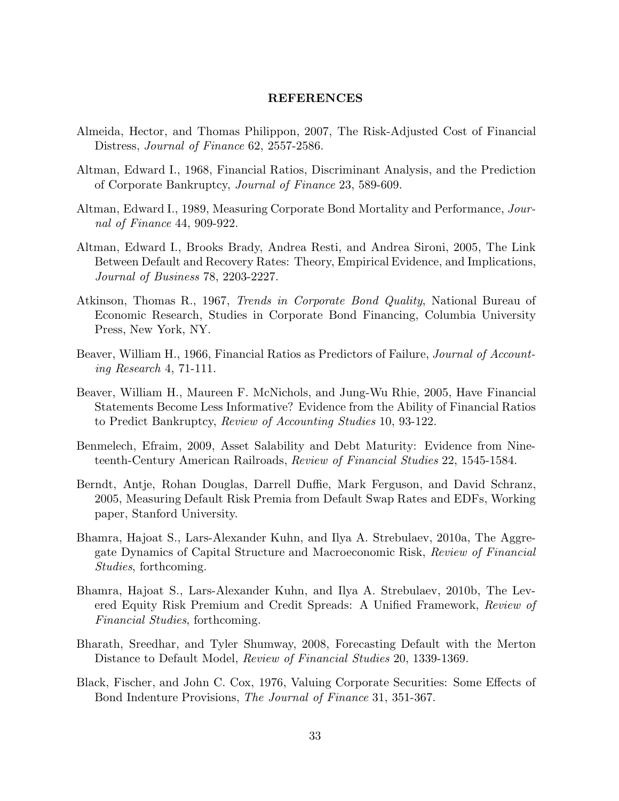#### **REFERENCES**

- Almeida, Hector, and Thomas Philippon, 2007, The Risk-Adjusted Cost of Financial Distress, *Journal of Finance* 62, 2557-2586.
- Altman, Edward I., 1968, Financial Ratios, Discriminant Analysis, and the Prediction of Corporate Bankruptcy, *Journal of Finance* 23, 589-609.
- Altman, Edward I., 1989, Measuring Corporate Bond Mortality and Performance, *Journal of Finance* 44, 909-922.
- Altman, Edward I., Brooks Brady, Andrea Resti, and Andrea Sironi, 2005, The Link Between Default and Recovery Rates: Theory, Empirical Evidence, and Implications, *Journal of Business* 78, 2203-2227.
- Atkinson, Thomas R., 1967, *Trends in Corporate Bond Quality*, National Bureau of Economic Research, Studies in Corporate Bond Financing, Columbia University Press, New York, NY.
- Beaver, William H., 1966, Financial Ratios as Predictors of Failure, *Journal of Accounting Research* 4, 71-111.
- Beaver, William H., Maureen F. McNichols, and Jung-Wu Rhie, 2005, Have Financial Statements Become Less Informative? Evidence from the Ability of Financial Ratios to Predict Bankruptcy, *Review of Accounting Studies* 10, 93-122.
- Benmelech, Efraim, 2009, Asset Salability and Debt Maturity: Evidence from Nineteenth-Century American Railroads, *Review of Financial Studies* 22, 1545-1584.
- Berndt, Antje, Rohan Douglas, Darrell Duffie, Mark Ferguson, and David Schranz, 2005, Measuring Default Risk Premia from Default Swap Rates and EDFs, Working paper, Stanford University.
- Bhamra, Hajoat S., Lars-Alexander Kuhn, and Ilya A. Strebulaev, 2010a, The Aggregate Dynamics of Capital Structure and Macroeconomic Risk, *Review of Financial Studies*, forthcoming.
- Bhamra, Hajoat S., Lars-Alexander Kuhn, and Ilya A. Strebulaev, 2010b, The Levered Equity Risk Premium and Credit Spreads: A Unified Framework, *Review of Financial Studies*, forthcoming.
- Bharath, Sreedhar, and Tyler Shumway, 2008, Forecasting Default with the Merton Distance to Default Model, *Review of Financial Studies* 20, 1339-1369.
- Black, Fischer, and John C. Cox, 1976, Valuing Corporate Securities: Some Effects of Bond Indenture Provisions, *The Journal of Finance* 31, 351-367.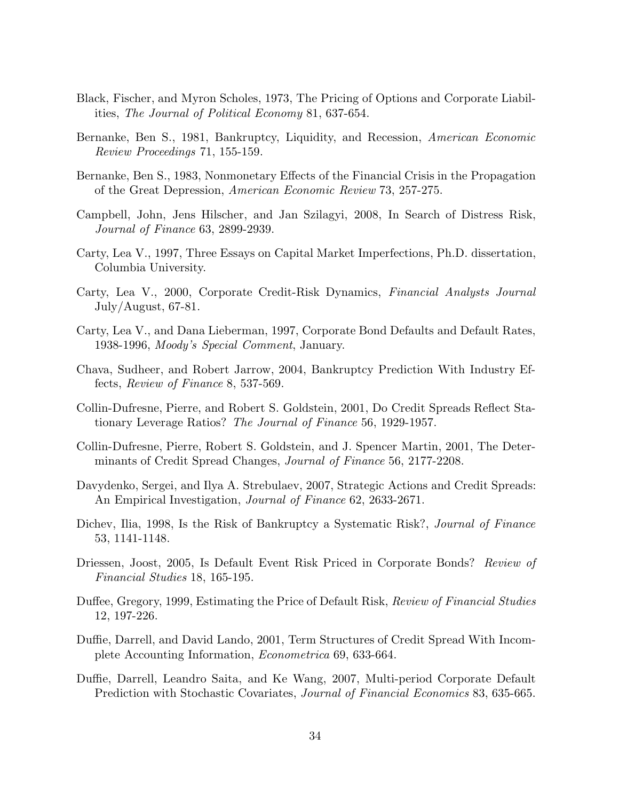- Black, Fischer, and Myron Scholes, 1973, The Pricing of Options and Corporate Liabilities, *The Journal of Political Economy* 81, 637-654.
- Bernanke, Ben S., 1981, Bankruptcy, Liquidity, and Recession, *American Economic Review Proceedings* 71, 155-159.
- Bernanke, Ben S., 1983, Nonmonetary Effects of the Financial Crisis in the Propagation of the Great Depression, *American Economic Review* 73, 257-275.
- Campbell, John, Jens Hilscher, and Jan Szilagyi, 2008, In Search of Distress Risk, *Journal of Finance* 63, 2899-2939.
- Carty, Lea V., 1997, Three Essays on Capital Market Imperfections, Ph.D. dissertation, Columbia University.
- Carty, Lea V., 2000, Corporate Credit-Risk Dynamics, *Financial Analysts Journal* July/August, 67-81.
- Carty, Lea V., and Dana Lieberman, 1997, Corporate Bond Defaults and Default Rates, 1938-1996, *Moody's Special Comment*, January.
- Chava, Sudheer, and Robert Jarrow, 2004, Bankruptcy Prediction With Industry Effects, *Review of Finance* 8, 537-569.
- Collin-Dufresne, Pierre, and Robert S. Goldstein, 2001, Do Credit Spreads Reflect Stationary Leverage Ratios? *The Journal of Finance* 56, 1929-1957.
- Collin-Dufresne, Pierre, Robert S. Goldstein, and J. Spencer Martin, 2001, The Determinants of Credit Spread Changes, *Journal of Finance* 56, 2177-2208.
- Davydenko, Sergei, and Ilya A. Strebulaev, 2007, Strategic Actions and Credit Spreads: An Empirical Investigation, *Journal of Finance* 62, 2633-2671.
- Dichev, Ilia, 1998, Is the Risk of Bankruptcy a Systematic Risk?, *Journal of Finance* 53, 1141-1148.
- Driessen, Joost, 2005, Is Default Event Risk Priced in Corporate Bonds? *Review of Financial Studies* 18, 165-195.
- Duffee, Gregory, 1999, Estimating the Price of Default Risk, *Review of Financial Studies* 12, 197-226.
- Duffie, Darrell, and David Lando, 2001, Term Structures of Credit Spread With Incomplete Accounting Information, *Econometrica* 69, 633-664.
- Duffie, Darrell, Leandro Saita, and Ke Wang, 2007, Multi-period Corporate Default Prediction with Stochastic Covariates, *Journal of Financial Economics* 83, 635-665.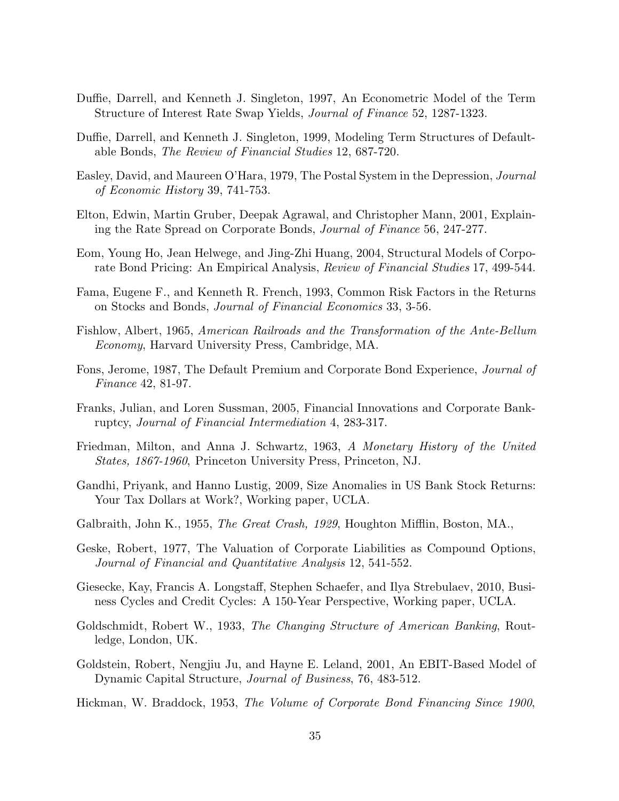- Duffie, Darrell, and Kenneth J. Singleton, 1997, An Econometric Model of the Term Structure of Interest Rate Swap Yields, *Journal of Finance* 52, 1287-1323.
- Duffie, Darrell, and Kenneth J. Singleton, 1999, Modeling Term Structures of Defaultable Bonds, *The Review of Financial Studies* 12, 687-720.
- Easley, David, and Maureen O'Hara, 1979, The Postal System in the Depression, *Journal of Economic History* 39, 741-753.
- Elton, Edwin, Martin Gruber, Deepak Agrawal, and Christopher Mann, 2001, Explaining the Rate Spread on Corporate Bonds, *Journal of Finance* 56, 247-277.
- Eom, Young Ho, Jean Helwege, and Jing-Zhi Huang, 2004, Structural Models of Corporate Bond Pricing: An Empirical Analysis, *Review of Financial Studies* 17, 499-544.
- Fama, Eugene F., and Kenneth R. French, 1993, Common Risk Factors in the Returns on Stocks and Bonds, *Journal of Financial Economics* 33, 3-56.
- Fishlow, Albert, 1965, *American Railroads and the Transformation of the Ante-Bellum Economy*, Harvard University Press, Cambridge, MA.
- Fons, Jerome, 1987, The Default Premium and Corporate Bond Experience, *Journal of Finance* 42, 81-97.
- Franks, Julian, and Loren Sussman, 2005, Financial Innovations and Corporate Bankruptcy, *Journal of Financial Intermediation* 4, 283-317.
- Friedman, Milton, and Anna J. Schwartz, 1963, *A Monetary History of the United States, 1867-1960*, Princeton University Press, Princeton, NJ.
- Gandhi, Priyank, and Hanno Lustig, 2009, Size Anomalies in US Bank Stock Returns: Your Tax Dollars at Work?, Working paper, UCLA.
- Galbraith, John K., 1955, *The Great Crash, 1929*, Houghton Mifflin, Boston, MA.,
- Geske, Robert, 1977, The Valuation of Corporate Liabilities as Compound Options, *Journal of Financial and Quantitative Analysis* 12, 541-552.
- Giesecke, Kay, Francis A. Longstaff, Stephen Schaefer, and Ilya Strebulaev, 2010, Business Cycles and Credit Cycles: A 150-Year Perspective, Working paper, UCLA.
- Goldschmidt, Robert W., 1933, *The Changing Structure of American Banking*, Routledge, London, UK.
- Goldstein, Robert, Nengjiu Ju, and Hayne E. Leland, 2001, An EBIT-Based Model of Dynamic Capital Structure, *Journal of Business*, 76, 483-512.
- Hickman, W. Braddock, 1953, *The Volume of Corporate Bond Financing Since 1900*,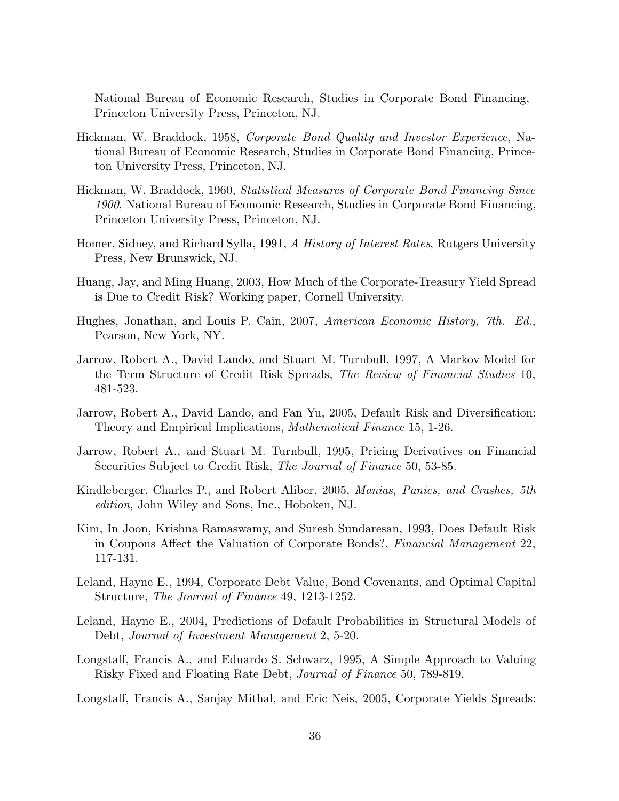National Bureau of Economic Research, Studies in Corporate Bond Financing, Princeton University Press, Princeton, NJ.

- Hickman, W. Braddock, 1958, *Corporate Bond Quality and Investor Experience*, National Bureau of Economic Research, Studies in Corporate Bond Financing, Princeton University Press, Princeton, NJ.
- Hickman, W. Braddock, 1960, *Statistical Measures of Corporate Bond Financing Since 1900*, National Bureau of Economic Research, Studies in Corporate Bond Financing, Princeton University Press, Princeton, NJ.
- Homer, Sidney, and Richard Sylla, 1991, *A History of Interest Rates*, Rutgers University Press, New Brunswick, NJ.
- Huang, Jay, and Ming Huang, 2003, How Much of the Corporate-Treasury Yield Spread is Due to Credit Risk? Working paper, Cornell University.
- Hughes, Jonathan, and Louis P. Cain, 2007, *American Economic History, 7th. Ed.*, Pearson, New York, NY.
- Jarrow, Robert A., David Lando, and Stuart M. Turnbull, 1997, A Markov Model for the Term Structure of Credit Risk Spreads, *The Review of Financial Studies* 10, 481-523.
- Jarrow, Robert A., David Lando, and Fan Yu, 2005, Default Risk and Diversification: Theory and Empirical Implications, *Mathematical Finance* 15, 1-26.
- Jarrow, Robert A., and Stuart M. Turnbull, 1995, Pricing Derivatives on Financial Securities Subject to Credit Risk, *The Journal of Finance* 50, 53-85.
- Kindleberger, Charles P., and Robert Aliber, 2005, *Manias, Panics, and Crashes, 5th edition*, John Wiley and Sons, Inc., Hoboken, NJ.
- Kim, In Joon, Krishna Ramaswamy, and Suresh Sundaresan, 1993, Does Default Risk in Coupons Affect the Valuation of Corporate Bonds?, *Financial Management* 22, 117-131.
- Leland, Hayne E., 1994, Corporate Debt Value, Bond Covenants, and Optimal Capital Structure, *The Journal of Finance* 49, 1213-1252.
- Leland, Hayne E., 2004, Predictions of Default Probabilities in Structural Models of Debt, *Journal of Investment Management* 2, 5-20.
- Longstaff, Francis A., and Eduardo S. Schwarz, 1995, A Simple Approach to Valuing Risky Fixed and Floating Rate Debt, *Journal of Finance* 50, 789-819.
- Longstaff, Francis A., Sanjay Mithal, and Eric Neis, 2005, Corporate Yields Spreads: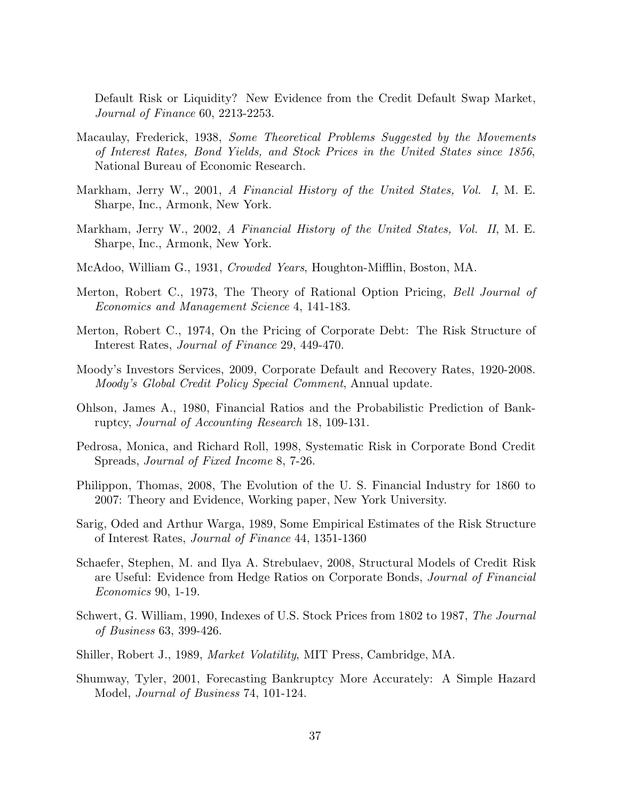Default Risk or Liquidity? New Evidence from the Credit Default Swap Market, *Journal of Finance* 60, 2213-2253.

- Macaulay, Frederick, 1938, *Some Theoretical Problems Suggested by the Movements of Interest Rates, Bond Yields, and Stock Prices in the United States since 1856*, National Bureau of Economic Research.
- Markham, Jerry W., 2001, *A Financial History of the United States, Vol. I*, M. E. Sharpe, Inc., Armonk, New York.
- Markham, Jerry W., 2002, *A Financial History of the United States, Vol. II*, M. E. Sharpe, Inc., Armonk, New York.
- McAdoo, William G., 1931, *Crowded Years*, Houghton-Mifflin, Boston, MA.
- Merton, Robert C., 1973, The Theory of Rational Option Pricing, *Bell Journal of Economics and Management Science* 4, 141-183.
- Merton, Robert C., 1974, On the Pricing of Corporate Debt: The Risk Structure of Interest Rates, *Journal of Finance* 29, 449-470.
- Moody's Investors Services, 2009, Corporate Default and Recovery Rates, 1920-2008. *Moody's Global Credit Policy Special Comment*, Annual update.
- Ohlson, James A., 1980, Financial Ratios and the Probabilistic Prediction of Bankruptcy, *Journal of Accounting Research* 18, 109-131.
- Pedrosa, Monica, and Richard Roll, 1998, Systematic Risk in Corporate Bond Credit Spreads, *Journal of Fixed Income* 8, 7-26.
- Philippon, Thomas, 2008, The Evolution of the U. S. Financial Industry for 1860 to 2007: Theory and Evidence, Working paper, New York University.
- Sarig, Oded and Arthur Warga, 1989, Some Empirical Estimates of the Risk Structure of Interest Rates, *Journal of Finance* 44, 1351-1360
- Schaefer, Stephen, M. and Ilya A. Strebulaev, 2008, Structural Models of Credit Risk are Useful: Evidence from Hedge Ratios on Corporate Bonds, *Journal of Financial Economics* 90, 1-19.
- Schwert, G. William, 1990, Indexes of U.S. Stock Prices from 1802 to 1987, *The Journal of Business* 63, 399-426.
- Shiller, Robert J., 1989, *Market Volatility*, MIT Press, Cambridge, MA.
- Shumway, Tyler, 2001, Forecasting Bankruptcy More Accurately: A Simple Hazard Model, *Journal of Business* 74, 101-124.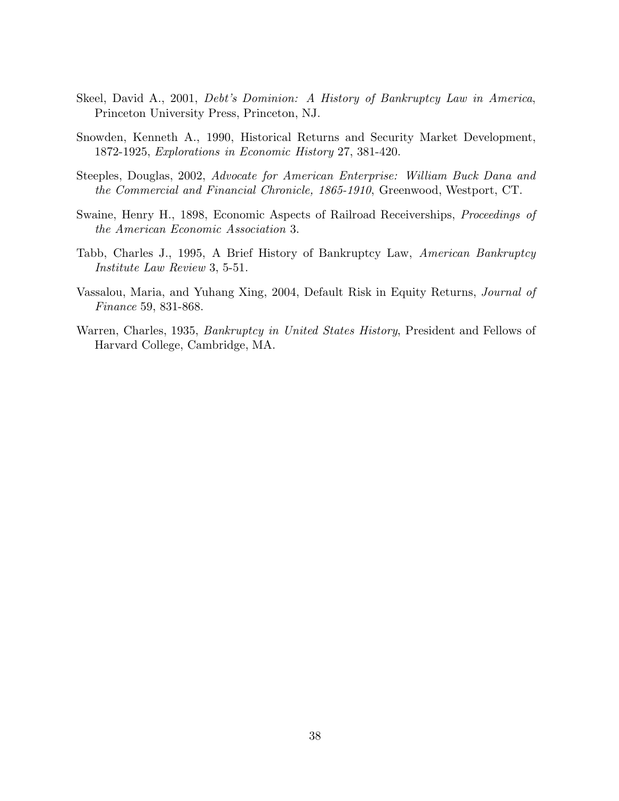- Skeel, David A., 2001, *Debt's Dominion: A History of Bankruptcy Law in America*, Princeton University Press, Princeton, NJ.
- Snowden, Kenneth A., 1990, Historical Returns and Security Market Development, 1872-1925, *Explorations in Economic History* 27, 381-420.
- Steeples, Douglas, 2002, *Advocate for American Enterprise: William Buck Dana and the Commercial and Financial Chronicle, 1865-1910*, Greenwood, Westport, CT.
- Swaine, Henry H., 1898, Economic Aspects of Railroad Receiverships, *Proceedings of the American Economic Association* 3.
- Tabb, Charles J., 1995, A Brief History of Bankruptcy Law, *American Bankruptcy Institute Law Review* 3, 5-51.
- Vassalou, Maria, and Yuhang Xing, 2004, Default Risk in Equity Returns, *Journal of Finance* 59, 831-868.
- Warren, Charles, 1935, *Bankruptcy in United States History*, President and Fellows of Harvard College, Cambridge, MA.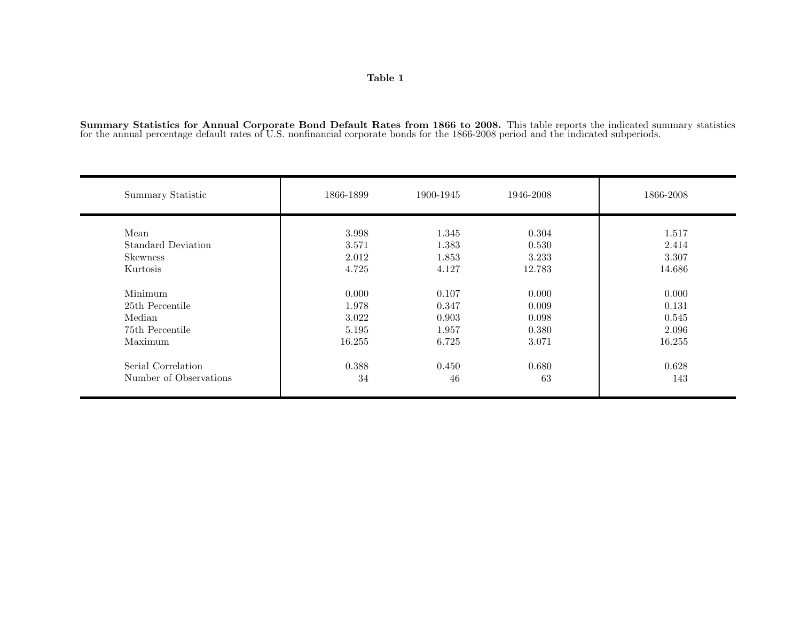Summary Statistics for Annual Corporate Bond Default Rates from 1866 to 2008. This table reports the indicated summary statistics for the annual percentage default rates of U.S. nonfinancial corporate bonds for the 1866-20

| Summary Statistic                             | 1866-1899               | 1900-1945               | 1946-2008               | 1866-2008               |
|-----------------------------------------------|-------------------------|-------------------------|-------------------------|-------------------------|
| Mean<br>Standard Deviation<br><b>Skewness</b> | 3.998<br>3.571<br>2.012 | 1.345<br>1.383<br>1.853 | 0.304<br>0.530<br>3.233 | 1.517<br>2.414<br>3.307 |
| Kurtosis                                      | 4.725                   | 4.127                   | 12.783                  | 14.686                  |
| Minimum                                       | 0.000                   | 0.107                   | 0.000                   | 0.000                   |
| 25th Percentile                               | 1.978                   | 0.347                   | 0.009                   | 0.131                   |
| Median                                        | 3.022                   | 0.903                   | 0.098                   | 0.545                   |
| 75th Percentile                               | 5.195                   | 1.957                   | 0.380                   | 2.096                   |
| Maximum                                       | 16.255                  | 6.725                   | 3.071                   | 16.255                  |
| Serial Correlation                            | 0.388                   | 0.450                   | 0.680                   | 0.628                   |
| Number of Observations                        | 34                      | 46                      | 63                      | 143                     |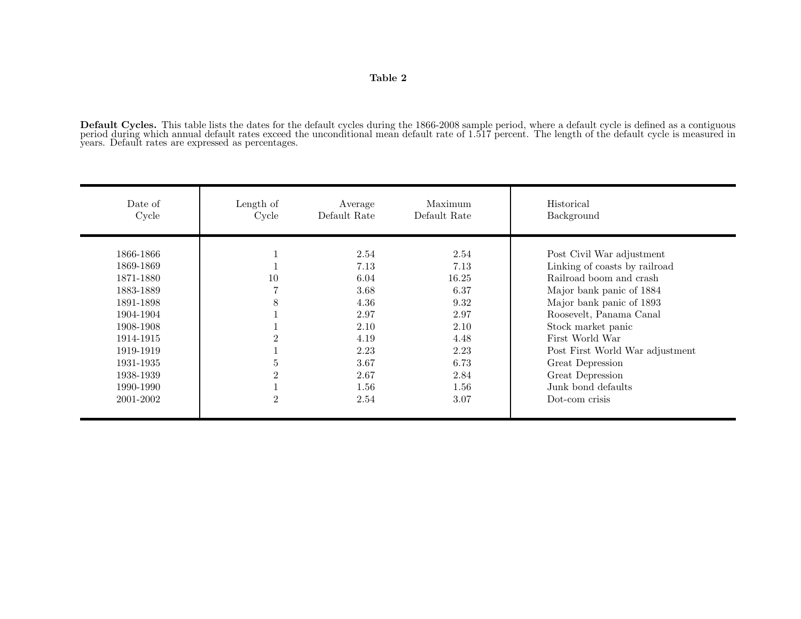**Default Cycles.** This table lists the dates for the default cycles during the 1866-2008 sample period, where <sup>a</sup> default cycle is defined as <sup>a</sup> contiguous period during which annual default rates exceed the unconditional mean default rate of 1.517 percent. The length of the default cycle is measured in years. Default rates are expressed as percentages.

| 2.54<br>1866-1866<br>2.54<br>Post Civil War adjustment<br>T<br>7.13<br>Linking of coasts by railroad<br>1869-1869<br>7.13<br>Railroad boom and crash<br>10<br>6.04<br>1871-1880<br>16.25<br>7<br>3.68<br>6.37<br>1883-1889<br>Major bank panic of 1884<br>8<br>Major bank panic of 1893<br>4.36<br>9.32<br>1891-1898<br>Roosevelt, Panama Canal<br>2.97<br>1904-1904<br>2.97<br>2.10<br>1908-1908<br>2.10<br>Stock market panic | Date of<br>Cycle | Length of<br>Cycle | Average<br>Default Rate | Maximum<br>Default Rate | Historical<br>Background |
|---------------------------------------------------------------------------------------------------------------------------------------------------------------------------------------------------------------------------------------------------------------------------------------------------------------------------------------------------------------------------------------------------------------------------------|------------------|--------------------|-------------------------|-------------------------|--------------------------|
| 2.23<br>2.23<br>1919-1919<br>Post First World War adjustment<br>$\bf 5$<br>3.67<br>6.73<br>Great Depression<br>1931-1935<br>$\overline{2}$<br>2.67<br>1938-1939<br>2.84<br>Great Depression<br>Junk bond defaults<br>1.56<br>1990-1990<br>$1.56\,$<br>T.<br>$\overline{2}$<br>2.54<br>2001-2002<br>3.07<br>Dot-com crisis                                                                                                       | 1914-1915        | $\overline{2}$     | 4.19                    | 4.48                    | First World War          |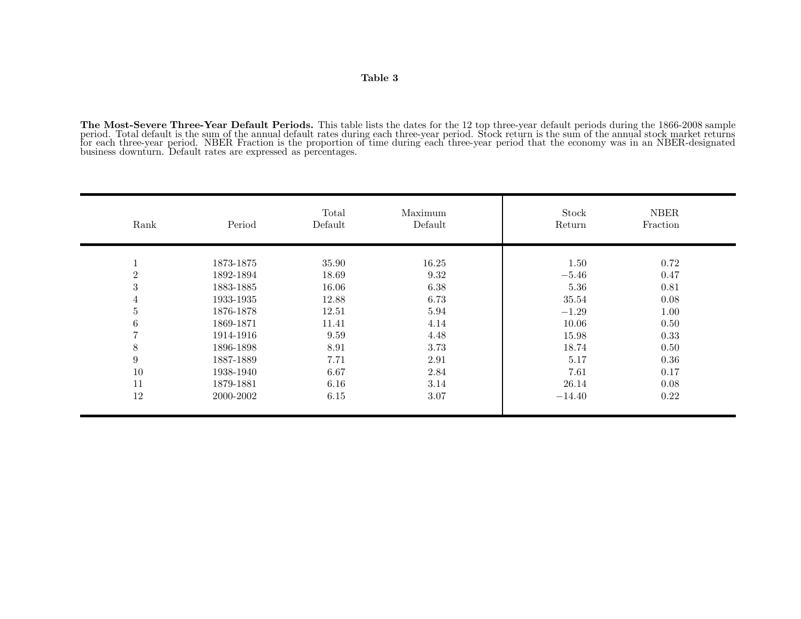**The Most-Severe Three-Year Default Periods.** This table lists the dates for the 12 top three-year default periods during the 1866-2008 sample period. Total default is the sum of the annual default rates during each three-year period. Stock return is the sum of the annual stock market returns<br>for each three-year period. NBER Fraction is the proportion of time dur

| Rank             | Period    | Total<br>Default | Maximum<br>Default | Stock<br>Return | <b>NBER</b><br>Fraction |
|------------------|-----------|------------------|--------------------|-----------------|-------------------------|
| $\perp$          | 1873-1875 | 35.90            | 16.25              | 1.50            | 0.72                    |
| $\overline{2}$   | 1892-1894 | 18.69            | 9.32               | $-5.46$         | 0.47                    |
| $\sqrt{3}$       | 1883-1885 | 16.06            | 6.38               | 5.36            | 0.81                    |
| $\overline{4}$   | 1933-1935 | 12.88            | 6.73               | 35.54           | 0.08                    |
| $\bf 5$          | 1876-1878 | 12.51            | 5.94               | $-1.29$         | 1.00                    |
| $\,6$            | 1869-1871 | 11.41            | 4.14               | 10.06           | 0.50                    |
| $\overline{7}$   | 1914-1916 | 9.59             | 4.48               | 15.98           | 0.33                    |
| $8\,$            | 1896-1898 | 8.91             | 3.73               | 18.74           | 0.50                    |
| $\boldsymbol{9}$ | 1887-1889 | 7.71             | 2.91               | 5.17            | 0.36                    |
| 10               | 1938-1940 | 6.67             | 2.84               | 7.61            | 0.17                    |
| 11               | 1879-1881 | 6.16             | 3.14               | 26.14           | 0.08                    |
| 12               | 2000-2002 | 6.15             | 3.07               | $-14.40$        | 0.22                    |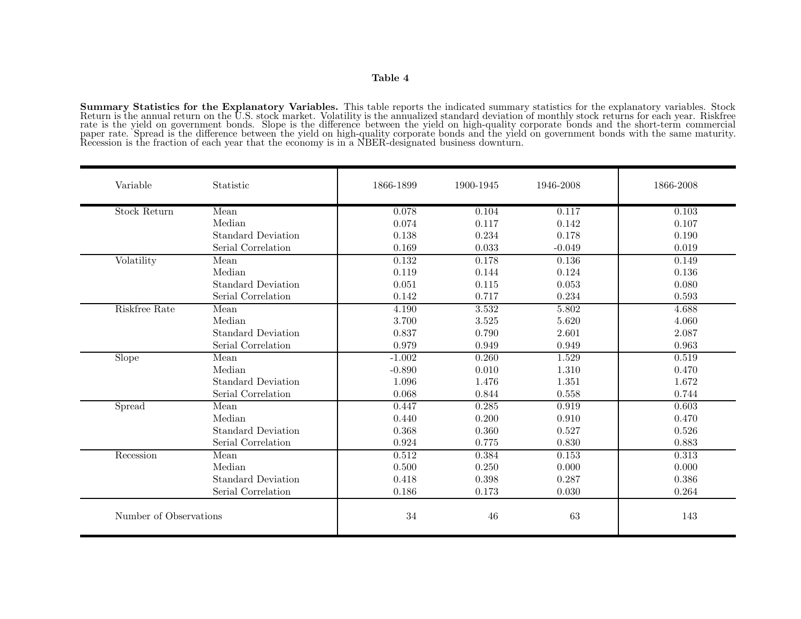**Summary Statistics for the Explanatory Variables.** This table reports the indicated summary statistics for the explanatory variables. Stock Return is the annual return on the U.S. stock market. Volatility is the annualized standard deviation of monthly stock returns for each year. Riskfree rate is the <sup>y</sup>ield on government bonds. Slope is the difference between the <sup>y</sup>ield on high-quality corporate bonds and the short-term commercial paper rate. Spread is the difference between the <sup>y</sup>ield on high-quality corporate bonds and the <sup>y</sup>ield on government bonds with the same maturity. Recession is the fraction of each year that the economy is in <sup>a</sup> NBER-designated business downturn.

| Variable               | <b>Statistic</b>          | 1866-1899 | 1900-1945 | 1946-2008 | 1866-2008 |
|------------------------|---------------------------|-----------|-----------|-----------|-----------|
| <b>Stock Return</b>    | Mean                      | 0.078     | 0.104     | 0.117     | 0.103     |
|                        | Median                    | 0.074     | 0.117     | 0.142     | 0.107     |
|                        | <b>Standard Deviation</b> | 0.138     | 0.234     | 0.178     | 0.190     |
|                        | Serial Correlation        | 0.169     | 0.033     | $-0.049$  | 0.019     |
| Volatility             | Mean                      | 0.132     | 0.178     | 0.136     | 0.149     |
|                        | Median                    | 0.119     | 0.144     | 0.124     | 0.136     |
|                        | <b>Standard Deviation</b> | 0.051     | 0.115     | 0.053     | 0.080     |
|                        | Serial Correlation        | 0.142     | 0.717     | 0.234     | 0.593     |
| Riskfree Rate          | Mean                      | 4.190     | 3.532     | 5.802     | 4.688     |
|                        | Median                    | 3.700     | 3.525     | 5.620     | 4.060     |
|                        | <b>Standard Deviation</b> | 0.837     | 0.790     | 2.601     | 2.087     |
|                        | Serial Correlation        | 0.979     | 0.949     | 0.949     | 0.963     |
| Slope                  | Mean                      | $-1.002$  | 0.260     | 1.529     | 0.519     |
|                        | Median                    | $-0.890$  | 0.010     | 1.310     | 0.470     |
|                        | <b>Standard Deviation</b> | 1.096     | 1.476     | 1.351     | 1.672     |
|                        | Serial Correlation        | 0.068     | 0.844     | 0.558     | 0.744     |
| Spread                 | Mean                      | 0.447     | 0.285     | 0.919     | 0.603     |
|                        | Median                    | 0.440     | 0.200     | 0.910     | 0.470     |
|                        | <b>Standard Deviation</b> | 0.368     | 0.360     | 0.527     | 0.526     |
|                        | Serial Correlation        | 0.924     | 0.775     | 0.830     | 0.883     |
| Recession              | Mean                      | 0.512     | 0.384     | 0.153     | 0.313     |
|                        | Median                    | 0.500     | 0.250     | 0.000     | 0.000     |
|                        | <b>Standard Deviation</b> | 0.418     | 0.398     | 0.287     | 0.386     |
|                        | Serial Correlation        | 0.186     | 0.173     | 0.030     | 0.264     |
| Number of Observations |                           | 34        | 46        | 63        | 143       |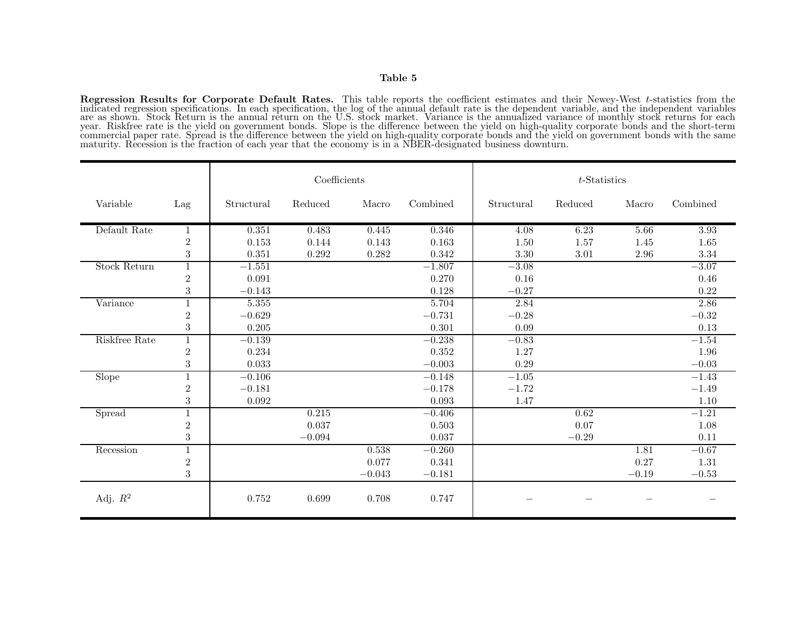Regression Results for Corporate Default Rates. This table reports the coefficient estimates and their Newey-West  $t$ -statistics from the indicated regression specifications. In each specification, the log of the annual d are as shown. Stock Return is the annual return on the U.S. stock market. Variance is the annualized variance of monthly stock returns for each year. Riskfree rate is the yield on government bonds. Slope is the difference between the yield on high-quality corporate bonds and the short-term<br>commercial paper rate. Spread is the difference between the yield on high-q maturity. Recession is the fraction of each year that the economy is in <sup>a</sup> NBER-designated business downturn.

|                     |                  | Coefficients |          |          |          | $t$ -Statistics |         |          |           |
|---------------------|------------------|--------------|----------|----------|----------|-----------------|---------|----------|-----------|
| Variable            | Lag              | Structural   | Reduced  | Macro    | Combined | Structural      | Reduced | Macro    | Combined  |
| Default Rate        | 1                | 0.351        | 0.483    | 0.445    | 0.346    | 4.08            | 6.23    | 5.66     | 3.93      |
|                     | $\boldsymbol{2}$ | 0.153        | 0.144    | 0.143    | 0.163    | 1.50            | 1.57    | 1.45     | $1.65\,$  |
|                     | $\sqrt{3}$       | 0.351        | 0.292    | 0.282    | 0.342    | 3.30            | 3.01    | $2.96\,$ | 3.34      |
| <b>Stock Return</b> | $\mathbf{1}$     | $-1.551$     |          |          | $-1.807$ | $-3.08$         |         |          | $-3.07$   |
|                     | $\overline{2}$   | 0.091        |          |          | 0.270    | 0.16            |         |          | $0.46\,$  |
|                     | $\sqrt{3}$       | $-0.143$     |          |          | 0.128    | $-0.27$         |         |          | 0.22      |
| Variance            | $1\,$            | 5.355        |          |          | 5.704    | 2.84            |         |          | 2.86      |
|                     | $\sqrt{2}$       | $-0.629$     |          |          | $-0.731$ | $-0.28$         |         |          | $-0.32\,$ |
|                     | $\sqrt{3}$       | 0.205        |          |          | 0.301    | 0.09            |         |          | 0.13      |
| Riskfree Rate       | $\mathbf{1}$     | $-0.139$     |          |          | $-0.238$ | $-0.83$         |         |          | $-1.54$   |
|                     | $\sqrt{2}$       | 0.234        |          |          | 0.352    | 1.27            |         |          | 1.96      |
|                     | $\sqrt{3}$       | 0.033        |          |          | $-0.003$ | 0.29            |         |          | $-0.03$   |
| Slope               | $\overline{1}$   | $-0.106$     |          |          | $-0.148$ | $-1.05$         |         |          | $-1.43$   |
|                     | $\overline{2}$   | $-0.181$     |          |          | $-0.178$ | $-1.72$         |         |          | $-1.49$   |
|                     | $\sqrt{3}$       | 0.092        |          |          | 0.093    | 1.47            |         |          | $1.10\,$  |
| Spread              | $\mathbf{1}$     |              | 0.215    |          | $-0.406$ |                 | 0.62    |          | $-1.21$   |
|                     | $\,2$            |              | 0.037    |          | 0.503    |                 | 0.07    |          | 1.08      |
|                     | $\sqrt{3}$       |              | $-0.094$ |          | 0.037    |                 | $-0.29$ |          | 0.11      |
| Recession           | $\mathbf{1}$     |              |          | 0.538    | $-0.260$ |                 |         | 1.81     | $-0.67$   |
|                     | $\,2$            |              |          | 0.077    | 0.341    |                 |         | 0.27     | $1.31\,$  |
|                     | $\sqrt{3}$       |              |          | $-0.043$ | $-0.181$ |                 |         | $-0.19$  | $-0.53$   |
| Adj. $R^2$          |                  | 0.752        | 0.699    | 0.708    | 0.747    |                 |         |          |           |